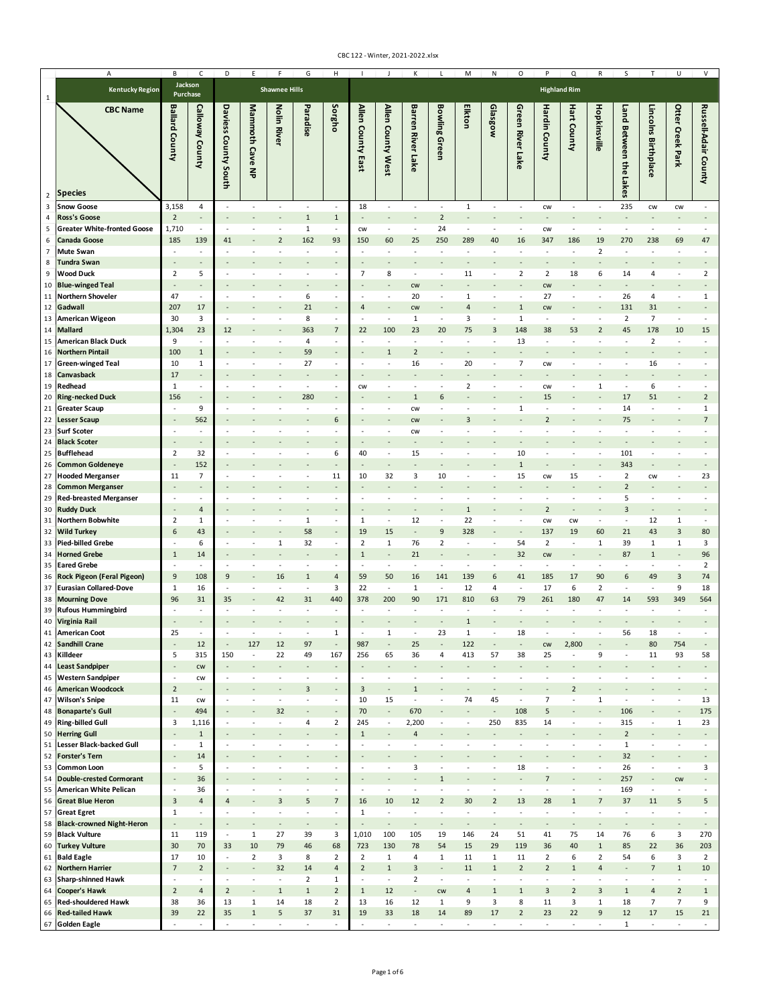|                     | Α                                                        | В                               | C                               | D                                          | Ε                             |                                          | G                              | Н                                                    |                                          |                                            |                                 |                                       | М                                          | N                              | О                                        |                                            | Q                                          | R                        | S                                        |                               | U                                          |                                          |
|---------------------|----------------------------------------------------------|---------------------------------|---------------------------------|--------------------------------------------|-------------------------------|------------------------------------------|--------------------------------|------------------------------------------------------|------------------------------------------|--------------------------------------------|---------------------------------|---------------------------------------|--------------------------------------------|--------------------------------|------------------------------------------|--------------------------------------------|--------------------------------------------|--------------------------|------------------------------------------|-------------------------------|--------------------------------------------|------------------------------------------|
|                     | <b>Kentucky Region</b>                                   | Jackson<br>Purchase             |                                 |                                            |                               | <b>Shawnee Hills</b>                     |                                |                                                      |                                          |                                            |                                 |                                       |                                            |                                |                                          |                                            | <b>Highland Rim</b>                        |                          |                                          |                               |                                            |                                          |
| $\overline{2}$      | <b>CBC Name</b><br><b>Species</b>                        | <b>Ballard County</b>           | Calloway County                 | Daviess<br>County South                    | Mammoth Cave<br>록             | Nolin<br><b>River</b>                    | Paradise                       | Sorgho                                               | Allen County Eas                         | Allen County West                          | <b>Barren River Lake</b>        | <b>Bowling Green</b>                  | Elkton                                     | Glasgow                        | Green River Lake                         | Hardin County                              | <b>Hart County</b>                         | Hopkinsville             | Land Between the<br>Lakes                | Lincolns Birthplace           | Otter Creek Park                           | Russell-Adair Coun                       |
| 3                   | <b>Snow Goose</b>                                        | 3,158                           | 4                               | ÷,                                         | ÷.                            | $\sim$                                   | $\sim$                         | $\sim$                                               | 18                                       | $\overline{\phantom{a}}$                   | $\sim$                          | ÷                                     | $\mathbf 1$                                | $\overline{\phantom{a}}$       | $\sim$                                   | CW                                         | $\sim$                                     | $\sim$                   | 235                                      | CW                            | CW                                         |                                          |
| 4                   | <b>Ross's Goose</b>                                      | $\overline{2}$                  | ٠                               |                                            |                               |                                          | $\mathbf 1$                    | $\mathbf 1$                                          |                                          | $\overline{a}$                             |                                 | $\overline{2}$                        |                                            |                                |                                          |                                            |                                            |                          |                                          |                               |                                            |                                          |
| 5                   | <b>Greater White-fronted Goose</b>                       | 1,710                           | $\overline{\phantom{a}}$        | ÷,                                         | ÷,                            | $\overline{\phantom{a}}$                 | $\mathbf{1}$                   | $\overline{\phantom{a}}$                             | cw                                       | $\overline{\phantom{a}}$                   | $\sim$                          | 24                                    | ÷,                                         | $\overline{\phantom{a}}$       | $\sim$                                   | CW                                         | $\sim$                                     | $\sim$                   | ÷.                                       | $\sim$                        | $\sim$                                     |                                          |
| 6<br>$\overline{7}$ | <b>Canada Goose</b><br><b>Mute Swan</b>                  | 185<br>$\overline{\phantom{a}}$ | 139<br>$\overline{\phantom{a}}$ | 41<br>$\sim$                               |                               | $\overline{2}$<br>÷,                     | 162<br>ä,                      | 93<br>$\overline{\phantom{a}}$                       | 150<br>$\sim$                            | 60<br>÷,                                   | 25                              | 250<br>$\overline{\phantom{a}}$       | 289<br>÷,                                  | 40                             | 16<br>÷,                                 | 347<br>$\overline{\phantom{a}}$            | 186                                        | 19<br>$\overline{2}$     | 270<br>$\sim$                            | 238                           | 69<br>÷,                                   | 47                                       |
| 8                   | <b>Tundra Swan</b>                                       |                                 |                                 |                                            |                               |                                          |                                |                                                      |                                          |                                            |                                 |                                       |                                            |                                |                                          |                                            |                                            |                          |                                          |                               |                                            |                                          |
| 9                   | <b>Wood Duck</b>                                         | $\overline{2}$                  | 5                               | $\overline{\phantom{a}}$                   | ÷,                            | $\overline{\phantom{a}}$                 | ٠                              | $\sim$                                               | 7                                        | 8                                          | $\overline{\phantom{a}}$        | $\overline{\phantom{a}}$              | 11                                         | $\overline{\phantom{a}}$       | $\overline{2}$                           | $\overline{2}$                             | 18                                         | 6                        | 14                                       | 4                             | $\overline{\phantom{a}}$                   | $\overline{2}$                           |
| 10                  | <b>Blue-winged Teal</b>                                  |                                 |                                 |                                            |                               |                                          |                                |                                                      |                                          |                                            | <b>CW</b>                       |                                       |                                            |                                |                                          | CW                                         |                                            |                          |                                          |                               |                                            |                                          |
| 11<br>12            | Northern Shoveler<br>Gadwall                             | 47<br>207                       | $\overline{\phantom{a}}$<br>17  | $\overline{\phantom{a}}$                   |                               |                                          | 6<br>21                        | $\overline{\phantom{a}}$                             | ÷,<br>$\overline{a}$                     | $\overline{\phantom{a}}$<br>$\overline{a}$ | 20<br><b>CW</b>                 | $\overline{\phantom{a}}$              | 1<br>4                                     |                                | ٠<br>$\mathbf 1$                         | 27<br>CW                                   |                                            | ÷,                       | 26<br>131                                | 4<br>31                       | $\overline{\phantom{a}}$                   | 1                                        |
| 13                  | <b>American Wigeon</b>                                   | 30                              | 3                               | $\overline{\phantom{a}}$                   |                               |                                          | 8                              | $\sim$                                               | ÷,                                       | ÷,                                         | 1                               | $\sim$                                | 3                                          |                                | $\mathbf{1}$                             | $\sim$                                     |                                            |                          | $\overline{2}$                           | $\overline{7}$                | $\sim$                                     |                                          |
| 14                  | <b>Mallard</b>                                           | 1,304                           | 23                              | 12                                         |                               |                                          | 363                            | 7                                                    | 22                                       | 100                                        | 23                              | 20                                    | 75                                         | 3                              | 148                                      | 38                                         | 53                                         | $\overline{2}$           | 45                                       | 178                           | 10                                         | 15                                       |
| 15                  | <b>American Black Duck</b>                               | 9                               | $\sim$                          |                                            |                               |                                          | 4                              | $\sim$                                               |                                          | ÷,                                         |                                 | ä,                                    |                                            |                                | 13                                       |                                            |                                            |                          |                                          | $\overline{2}$                |                                            |                                          |
| 16<br>17            | <b>Northern Pintail</b><br><b>Green-winged Teal</b>      | 100<br>10                       | $\mathbf{1}$<br>1               |                                            |                               |                                          | 59<br>27                       |                                                      |                                          | $\mathbf{1}$<br>ä,                         | $\overline{2}$<br>16            |                                       | 20                                         |                                | $\overline{7}$                           | <b>CW</b>                                  |                                            |                          |                                          | 16                            |                                            |                                          |
| 18                  | Canvasback                                               | 17                              | $\overline{\phantom{a}}$        |                                            |                               |                                          |                                |                                                      |                                          |                                            |                                 |                                       |                                            |                                |                                          |                                            |                                            |                          |                                          |                               |                                            |                                          |
| 19                  | Redhead                                                  | $\mathbf{1}$                    | $\sim$                          |                                            |                               |                                          | ÷,                             |                                                      | CW                                       | ÷,                                         |                                 | $\sim$                                | $\overline{2}$                             |                                |                                          | CW                                         |                                            | 1                        | $\sim$                                   | 6                             |                                            |                                          |
| 20                  | <b>Ring-necked Duck</b>                                  | 156                             | $\overline{\phantom{a}}$        |                                            |                               |                                          | 280                            | $\overline{\phantom{a}}$                             |                                          |                                            | 1                               | 6                                     |                                            |                                |                                          | 15                                         |                                            |                          | 17                                       | 51                            |                                            | $\overline{2}$                           |
| 21                  | <b>Greater Scaup</b>                                     | $\overline{\phantom{a}}$        | 9<br>562                        |                                            |                               |                                          | ÷                              | $\overline{\phantom{a}}$                             |                                          | $\overline{\phantom{a}}$                   | CW                              | ٠                                     | $\mathbf{3}$                               |                                | 1                                        | $\overline{\phantom{a}}$<br>$\overline{2}$ |                                            |                          | 14<br>75                                 |                               |                                            | $\mathbf{1}$<br>$\overline{7}$           |
| 22<br>23            | <b>Lesser Scaup</b><br><b>Surf Scoter</b>                | $\overline{\phantom{a}}$        | $\sim$                          |                                            |                               |                                          |                                | 6                                                    |                                          | ÷,                                         | CW<br>CW                        | $\overline{\phantom{a}}$              |                                            |                                |                                          |                                            |                                            |                          |                                          |                               |                                            |                                          |
| 24                  | <b>Black Scoter</b>                                      |                                 | $\overline{\phantom{a}}$        |                                            |                               |                                          |                                |                                                      |                                          |                                            |                                 |                                       |                                            |                                |                                          |                                            |                                            |                          |                                          |                               |                                            |                                          |
| 25                  | <b>Bufflehead</b>                                        | $\overline{2}$                  | 32                              |                                            |                               |                                          |                                | 6                                                    | 40                                       | ÷,                                         | 15                              | $\overline{\phantom{a}}$              |                                            |                                | 10                                       | $\overline{\phantom{a}}$                   |                                            |                          | 101                                      |                               |                                            |                                          |
| 26                  | <b>Common Goldeneye</b>                                  |                                 | 152                             |                                            |                               |                                          |                                |                                                      |                                          |                                            |                                 |                                       |                                            |                                | $\mathbf{1}$                             |                                            |                                            |                          | 343                                      |                               |                                            |                                          |
| 27<br>28            | <b>Hooded Merganser</b><br><b>Common Merganser</b>       | 11                              | $\overline{7}$                  |                                            |                               |                                          | ÷,                             | 11                                                   | 10                                       | 32                                         | 3                               | 10                                    |                                            |                                | 15                                       | CW                                         | 15                                         |                          | $\overline{2}$<br>$\overline{2}$         | CW                            | $\overline{\phantom{a}}$                   | 23                                       |
| 29                  | <b>Red-breasted Merganser</b>                            |                                 | $\sim$                          |                                            |                               |                                          |                                | $\overline{\phantom{a}}$                             |                                          | $\sim$                                     | $\overline{\phantom{a}}$        | ٠                                     |                                            |                                |                                          | $\overline{\phantom{a}}$                   |                                            |                          | 5                                        |                               |                                            |                                          |
| 30                  | <b>Ruddy Duck</b>                                        |                                 | $\overline{4}$                  |                                            |                               |                                          |                                |                                                      |                                          | $\overline{a}$                             |                                 |                                       | $\mathbf{1}$                               |                                |                                          | $\overline{2}$                             |                                            |                          | $\overline{3}$                           |                               |                                            |                                          |
| 31                  | Northern Bobwhite                                        | $\overline{2}$                  | $\mathbf{1}$                    |                                            |                               | $\sim$                                   | $\mathbf{1}$                   | $\overline{\phantom{a}}$                             | $\mathbf 1$                              | $\sim$                                     | 12                              | ÷                                     | 22                                         |                                | $\overline{\phantom{a}}$                 | CW                                         | CW                                         | ٠                        | $\sim$                                   | 12                            | $\mathbf{1}$                               | $\sim$                                   |
| 32                  | <b>Wild Turkey</b><br><b>Pied-billed Grebe</b>           | 6                               | 43<br>6                         |                                            |                               | 1                                        | 58<br>32                       | $\sim$                                               | 19<br>$\overline{2}$                     | 15<br>$\mathbf{1}$                         | 76                              | 9<br>$\overline{2}$                   | 328<br>÷,                                  |                                | 54                                       | 137<br>$\overline{2}$                      | 19                                         | 60<br>1                  | 21<br>39                                 | 43<br>1                       | $\mathsf 3$<br>$\mathbf{1}$                | 80<br>3                                  |
| 33<br>34            | <b>Horned Grebe</b>                                      | $\mathbf{1}$                    | 14                              |                                            |                               |                                          |                                |                                                      | $\mathbf{1}$                             |                                            | 21                              |                                       |                                            |                                | 32                                       | <b>CW</b>                                  |                                            |                          | 87                                       | $\mathbf{1}$                  |                                            | 96                                       |
| 35                  | <b>Eared Grebe</b>                                       |                                 | ÷,                              |                                            |                               | $\overline{\phantom{a}}$                 |                                |                                                      | ä,                                       | ÷,                                         | $\sim$                          | ÷,                                    |                                            |                                |                                          | $\sim$                                     |                                            |                          |                                          |                               | í,                                         | $\overline{2}$                           |
| 36                  | Rock Pigeon (Feral Pigeon)                               | 9                               | 108                             | 9                                          |                               | 16                                       | $\mathbf{1}$                   | 4                                                    | 59                                       | 50                                         | 16                              | 141                                   | 139                                        | 6                              | 41                                       | 185                                        | 17                                         | 90                       | 6                                        | 49                            | 3                                          | 74                                       |
| 37                  | <b>Eurasian Collared-Dove</b><br><b>Mourning Dove</b>    | $1\,$                           | 16                              | ٠                                          |                               | $\sim$                                   | ÷,                             | 3                                                    | 22                                       | $\overline{\phantom{a}}$                   | 1                               | $\overline{\phantom{a}}$              | 12                                         | 4                              | $\overline{\phantom{a}}$                 | 17                                         | 6                                          | $\overline{2}$           | $\sim$                                   | $\sim$                        | 9                                          | 18                                       |
| 38<br>39            | <b>Rufous Hummingbird</b>                                | 96<br>٠                         | 31<br>٠                         | 35                                         |                               | 42                                       | 31                             | 440                                                  | 378                                      | 200<br>٠                                   | 90                              | 171<br>$\sim$                         | 810                                        | 63                             | 79                                       | 261                                        | 180                                        | 47                       | 14                                       | 593                           | 349                                        | 564                                      |
| 40                  | Virginia Rail                                            |                                 |                                 |                                            |                               |                                          |                                |                                                      |                                          |                                            |                                 |                                       | $\mathbf{1}$                               |                                |                                          |                                            |                                            |                          |                                          |                               |                                            |                                          |
| 41                  | <b>American Coot</b>                                     | 25                              |                                 |                                            |                               |                                          |                                |                                                      |                                          | 1                                          |                                 | 23                                    |                                            |                                | 18                                       |                                            |                                            |                          | 56                                       | 18                            |                                            |                                          |
| 42                  | <b>Sandhill Crane</b>                                    |                                 | 12                              | $\overline{\phantom{a}}$                   | 127                           | 12                                       | 97                             | $\overline{\phantom{a}}$                             | 987                                      | $\overline{a}$                             | 25                              | $\overline{\phantom{a}}$              | 122                                        |                                | $\overline{\phantom{a}}$                 | cw                                         | 2,800                                      | ٠                        |                                          | 80                            | 754                                        |                                          |
| 43<br>44            | Killdeer<br><b>Least Sandpiper</b>                       | 5                               | 315<br>cw                       | 150                                        | $\overline{\phantom{a}}$      | 22                                       | 49                             | 167                                                  | 256                                      | 65                                         | 36                              | 4                                     | 413                                        | 57                             | 38                                       | 25                                         | $\sim$                                     | 9                        | $\overline{\phantom{a}}$                 | 11                            | 93                                         | 58<br>$\overline{\phantom{a}}$           |
| 45                  | <b>Western Sandpiper</b>                                 | $\overline{\phantom{a}}$        | CW                              | $\overline{\phantom{a}}$                   | $\overline{\phantom{a}}$      | $\overline{\phantom{a}}$                 | $\blacksquare$                 | $\overline{\phantom{a}}$                             | $\overline{\phantom{a}}$                 | $\overline{\phantom{a}}$                   | $\overline{\phantom{a}}$        | $\overline{\phantom{a}}$              | $\overline{\phantom{a}}$                   | $\overline{\phantom{a}}$       | $\overline{\phantom{a}}$                 | $\overline{\phantom{a}}$                   | $\overline{\phantom{a}}$                   | $\overline{\phantom{a}}$ | $\overline{\phantom{a}}$                 | $\overline{\phantom{a}}$      | $\overline{\phantom{a}}$                   | $\overline{\phantom{a}}$                 |
| 46                  | <b>American Woodcock</b>                                 | $\overline{2}$                  | $\overline{a}$                  |                                            |                               |                                          | 3                              |                                                      | 3                                        | $\overline{\phantom{a}}$                   | $\mathbf{1}$                    | $\qquad \qquad \blacksquare$          |                                            |                                | $\overline{\phantom{a}}$                 | ÷,                                         | $\overline{2}$                             |                          |                                          |                               | $\overline{a}$                             | $\overline{\phantom{a}}$                 |
| 47<br>48            | <b>Wilson's Snipe</b><br><b>Bonaparte's Gull</b>         | 11                              | CW<br>494                       | $\overline{\phantom{a}}$                   | $\overline{\phantom{a}}$<br>٠ | $\overline{\phantom{a}}$<br>32           | ÷,<br>$\overline{a}$           | $\overline{\phantom{a}}$<br>$\overline{\phantom{a}}$ | 10<br>70                                 | 15<br>Ĭ.                                   | $\overline{\phantom{a}}$<br>670 | $\overline{\phantom{a}}$              | 74                                         | 45<br>$\overline{\phantom{a}}$ | $\overline{\phantom{a}}$<br>108          | $\overline{7}$<br>5                        | $\overline{\phantom{a}}$                   | $\mathbf{1}$             | $\overline{\phantom{a}}$<br>106          | $\overline{\phantom{a}}$      | $\overline{\phantom{a}}$<br>÷              | 13<br>175                                |
| 49                  | <b>Ring-billed Gull</b>                                  | 3                               | 1,116                           | $\sim$                                     | $\sim$                        | $\sim$                                   | 4                              | $\overline{2}$                                       | 245                                      | $\overline{\phantom{a}}$                   | 2,200                           | $\overline{\phantom{a}}$              | $\overline{\phantom{a}}$                   | 250                            | 835                                      | 14                                         | $\overline{\phantom{a}}$                   | $\sim$                   | 315                                      | $\overline{\phantom{a}}$      | $\mathbf{1}$                               | 23                                       |
| 50                  | <b>Herring Gull</b>                                      |                                 | $\mathbf 1$                     |                                            |                               |                                          |                                | $\overline{\phantom{a}}$                             | $\mathbf 1$                              | $\overline{a}$                             | $\overline{4}$                  |                                       |                                            |                                |                                          | $\qquad \qquad \blacksquare$               |                                            |                          | $\overline{2}$                           |                               | $\overline{a}$                             | $\overline{\phantom{a}}$                 |
| 51                  | Lesser Black-backed Gull                                 | ٠                               | $\mathbf{1}$                    | $\sim$                                     |                               | ä,                                       |                                | $\sim$                                               | $\sim$                                   | ÷,                                         |                                 | $\sim$                                | ÷,                                         | $\overline{\phantom{a}}$       | $\sim$                                   | $\sim$                                     |                                            | ÷,                       | $\mathbf{1}$                             |                               | $\sim$                                     |                                          |
| 52<br>53            | <b>Forster's Tern</b><br><b>Common Loon</b>              | $\overline{\phantom{a}}$        | 14<br>5                         | $\overline{\phantom{a}}$                   |                               |                                          |                                | $\sim$                                               | ÷,                                       | ł,                                         | 3                               | ÷                                     |                                            |                                | 18                                       | ÷,                                         |                                            | ÷,                       | 32<br>26                                 |                               | ÷,                                         | 3                                        |
| 54                  | <b>Double-crested Cormorant</b>                          |                                 | 36                              |                                            |                               |                                          |                                |                                                      |                                          |                                            |                                 | $\mathbf{1}$                          |                                            |                                |                                          | $\overline{7}$                             |                                            |                          | 257                                      |                               | CW                                         |                                          |
| 55                  | American White Pelican                                   | $\overline{\phantom{a}}$        | 36                              | $\sim$                                     | ÷                             | $\sim$                                   | ٠                              | $\sim$                                               | $\sim$                                   | $\overline{\phantom{a}}$                   | ٠                               | $\sim$                                | ٠                                          | $\overline{\phantom{a}}$       | $\sim$                                   | $\sim$                                     | ٠                                          | ٠                        | 169                                      | $\overline{\phantom{a}}$      | $\sim$                                     | ٠                                        |
| 56                  | <b>Great Blue Heron</b>                                  | $\overline{\mathbf{3}}$         | $\overline{4}$                  | 4                                          | ٠                             | $\overline{3}$                           | 5                              | $\overline{7}$                                       | 16                                       | 10                                         | 12                              | $\overline{2}$                        | 30                                         | $\overline{2}$                 | 13                                       | 28                                         | 1                                          | 7                        | 37                                       | 11                            | 5                                          | 5                                        |
| 57                  | <b>Great Egret</b>                                       | $\mathbf{1}$                    | $\sim$                          | $\sim$                                     | ÷                             | $\sim$                                   | ÷.                             | $\sim$                                               | $\mathbf 1$                              | $\sim$                                     | $\sim$                          | $\sim$                                | $\sim$                                     | $\sim$                         | $\sim$                                   | $\sim$                                     | $\sim$                                     | ٠.                       | $\overline{a}$                           | $\sim$                        | $\sim$                                     | ٠                                        |
| 58<br>59            | <b>Black-crowned Night-Heron</b><br><b>Black Vulture</b> | ÷,<br>11                        | $\overline{\phantom{a}}$<br>119 | $\overline{\phantom{a}}$<br>$\sim$         | ٠<br>$\mathbf{1}$             | $\overline{\phantom{a}}$<br>27           | ٠<br>39                        | $\overline{\phantom{a}}$<br>3                        | ÷,<br>1,010                              | $\overline{\phantom{a}}$<br>100            | $\overline{\phantom{a}}$<br>105 | $\overline{\phantom{a}}$<br>19        | $\overline{\phantom{a}}$<br>146            | $\overline{\phantom{a}}$<br>24 | $\overline{\phantom{a}}$<br>51           | $\overline{\phantom{a}}$<br>41             | $\overline{\phantom{a}}$<br>75             | ٠<br>14                  | $\overline{\phantom{a}}$<br>76           | $\overline{\phantom{a}}$<br>6 | $\centerdot$<br>3                          | $\overline{\phantom{a}}$<br>270          |
| 60                  | <b>Turkey Vulture</b>                                    | 30                              | 70                              | 33                                         | 10                            | 79                                       | 46                             | 68                                                   | 723                                      | 130                                        | 78                              | 54                                    | 15                                         | 29                             | 119                                      | 36                                         | 40                                         | $\mathbf 1$              | 85                                       | 22                            | 36                                         | 203                                      |
| 61                  | <b>Bald Eagle</b>                                        | 17                              | 10                              | $\overline{\phantom{a}}$                   | $\overline{2}$                | 3                                        | 8                              | $\mathbf 2$                                          | $\overline{2}$                           | $\mathbf{1}$                               | $\overline{4}$                  | $\mathbf{1}$                          | 11                                         | $\mathbf{1}$                   | 11                                       | $\overline{2}$                             | 6                                          | $\overline{2}$           | 54                                       | 6                             | 3                                          | $\overline{2}$                           |
| 62                  | <b>Northern Harrier</b>                                  | $\overline{7}$                  | $\overline{2}$                  |                                            |                               | 32                                       | 14                             | $\sqrt{4}$                                           | $\overline{2}$                           | $\mathbf 1$                                | 3                               | $\overline{\phantom{a}}$              | 11                                         | $\mathbf{1}$                   | $\overline{2}$                           | $\overline{2}$                             | 1                                          | 4                        |                                          | $\overline{7}$                | $\mathbf{1}$                               | 10                                       |
| 63<br>64            | <b>Sharp-shinned Hawk</b><br><b>Cooper's Hawk</b>        | ÷,<br>$\overline{2}$            | $\overline{\phantom{a}}$<br>4   | $\overline{\phantom{a}}$<br>$\overline{2}$ | $\overline{\phantom{a}}$      | $\overline{\phantom{a}}$<br>$\mathbf{1}$ | $\overline{2}$<br>$\mathbf{1}$ | $\mathbf 1$<br>$\overline{2}$                        | $\overline{\phantom{a}}$<br>$\mathbf{1}$ | $\overline{\phantom{a}}$<br>12             | $\overline{2}$                  | $\overline{\phantom{a}}$<br><b>CW</b> | $\overline{\phantom{a}}$<br>$\overline{a}$ | $\overline{\phantom{a}}$<br>1  | $\overline{\phantom{a}}$<br>$\mathbf{1}$ | $\blacksquare$<br>3                        | $\overline{\phantom{a}}$<br>$\overline{2}$ | ÷,<br>3                  | $\overline{\phantom{a}}$<br>$\mathbf{1}$ | ÷,<br>$\overline{a}$          | $\overline{\phantom{a}}$<br>$\overline{2}$ | $\overline{\phantom{a}}$<br>$\mathbf{1}$ |
| 65                  | <b>Red-shouldered Hawk</b>                               | 38                              | 36                              | 13                                         | $\mathbf{1}$                  | 14                                       | 18                             | $\overline{2}$                                       | 13                                       | 16                                         | 12                              | 1                                     | 9                                          | 3                              | 8                                        | 11                                         | 3                                          | $\mathbf{1}$             | 18                                       | $\overline{7}$                | $\overline{7}$                             | 9                                        |
| 66                  | <b>Red-tailed Hawk</b>                                   | 39                              | 22                              | 35                                         | $\mathbf{1}$                  | 5                                        | 37                             | 31                                                   | 19                                       | 33                                         | 18                              | 14                                    | 89                                         | 17                             | $\overline{2}$                           | 23                                         | 22                                         | 9                        | 12                                       | 17                            | 15                                         | 21                                       |
|                     | 67 Golden Eagle                                          | $\sim$                          | $\sim$                          | $\overline{\phantom{a}}$                   | $\overline{\phantom{a}}$      | $\overline{\phantom{a}}$                 | $\sim$                         | $\overline{\phantom{a}}$                             | $\overline{\phantom{a}}$                 | $\sim$                                     | $\sim$                          | $\sim$                                | $\sim$                                     | $\sim$                         | $\sim$                                   | $\sim$                                     | $\sim$                                     | $\sim$                   | $\mathbf{1}$                             | $\sim$                        | $\sim$                                     | $\sim$                                   |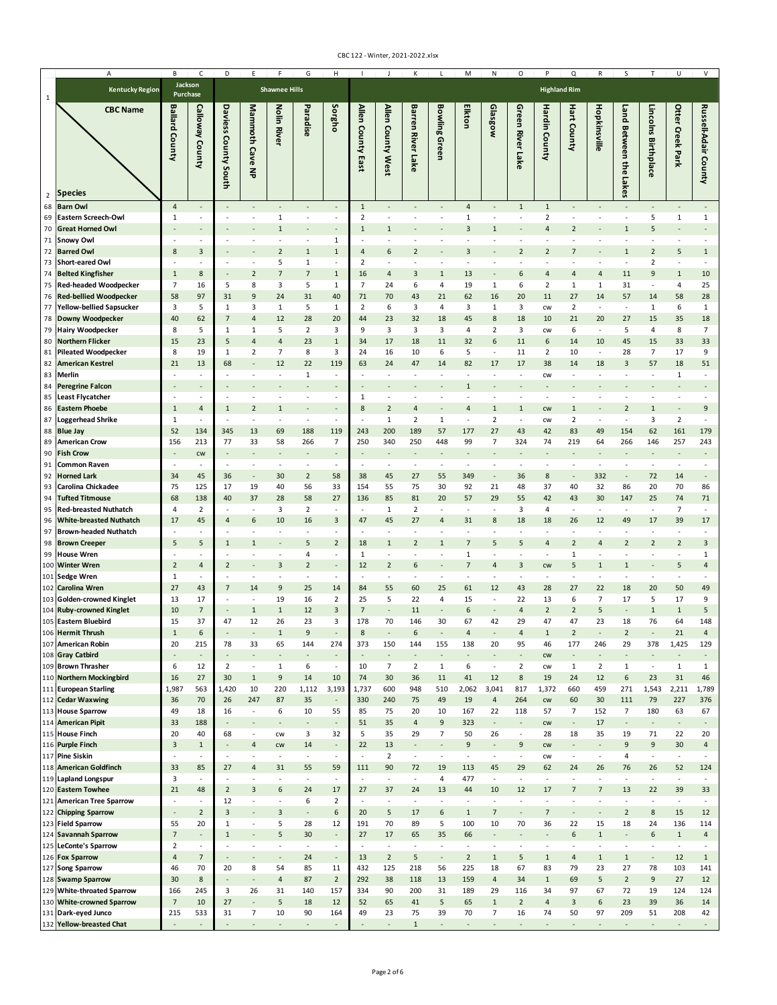|                | А                                                    | B                                | C                                          | D                                                    |                                            |                                                      | G                              | Н                                                    |                                  |                                            |                                |                                    | M                              | Ν                                       | 0                              |                                          | Q                              | $\mathsf{R}$                   | S                                        |                                        | U                                          |                                |
|----------------|------------------------------------------------------|----------------------------------|--------------------------------------------|------------------------------------------------------|--------------------------------------------|------------------------------------------------------|--------------------------------|------------------------------------------------------|----------------------------------|--------------------------------------------|--------------------------------|------------------------------------|--------------------------------|-----------------------------------------|--------------------------------|------------------------------------------|--------------------------------|--------------------------------|------------------------------------------|----------------------------------------|--------------------------------------------|--------------------------------|
| 1              | <b>Kentucky Region</b>                               | Jackson<br>Purchase              |                                            |                                                      |                                            | <b>Shawnee Hills</b>                                 |                                |                                                      |                                  |                                            |                                |                                    |                                |                                         |                                | <b>Highland Rim</b>                      |                                |                                |                                          |                                        |                                            |                                |
| $\overline{2}$ | <b>CBC Name</b><br><b>Species</b>                    | <b>Ballard County</b>            | Calloway County                            | Daviess<br>County South                              | Mammoth Cave<br>록                          | Nolin Rive                                           | Paradise                       | Sorgho                                               | Allen County<br>East             | Allen County West                          | <b>Barren River Lake</b>       | <b>Bowling Green</b>               | Elkton                         | Glasgow                                 | <b>Green River Lake</b>        | Hardin County                            | <b>Hart County</b>             | Hopkinsville                   | Land Between the<br><u>n</u><br>kes      | Lincolns<br><b>Birthplace</b>          | Otter Creek Park                           | Russell-Adair County           |
| 68             | <b>Barn Owl</b>                                      | $\overline{4}$                   | $\overline{\phantom{a}}$                   |                                                      |                                            | $\overline{a}$                                       |                                | $\overline{\phantom{a}}$                             | $1\,$                            | $\overline{\phantom{a}}$                   |                                | $\overline{a}$                     | $\overline{a}$                 |                                         | $1\,$                          | $\mathbf{1}$                             |                                |                                |                                          |                                        | $\blacksquare$                             |                                |
| 69             | <b>Eastern Screech-Owl</b>                           | $\mathbf{1}$                     | $\sim$                                     | ٠                                                    | $\overline{\phantom{a}}$                   | $1\,$                                                | $\overline{\phantom{a}}$       | $\overline{\phantom{a}}$                             | 2                                | $\overline{\phantom{a}}$                   |                                | ٠                                  | 1                              | $\overline{\phantom{a}}$                | ÷,                             | $\overline{2}$                           | ÷,                             |                                | $\overline{\phantom{a}}$                 | 5                                      | $\mathbf{1}$                               | $\mathbf{1}$                   |
| 70             | <b>Great Horned Owl</b>                              |                                  |                                            |                                                      |                                            | $\mathbf{1}$                                         |                                |                                                      | $\mathbf{1}$                     | $\mathbf{1}$                               |                                |                                    | $\overline{3}$                 | $\mathbf{1}$                            |                                | $\overline{a}$                           | $\overline{\mathbf{z}}$        |                                | $\mathbf{1}$                             | 5                                      |                                            |                                |
| 71             | <b>Snowy Owl</b>                                     |                                  | $\overline{\phantom{a}}$                   |                                                      |                                            |                                                      |                                | $\mathbf{1}$                                         |                                  | $\sim$                                     |                                | ٠                                  |                                |                                         |                                |                                          |                                |                                |                                          |                                        |                                            |                                |
| 72<br>73       | <b>Barred Owl</b><br><b>Short-eared Owl</b>          | 8                                | 3                                          |                                                      |                                            | $\overline{2}$<br>5                                  | $\mathbf{1}$<br>$\mathbf{1}$   | $1\,$<br>$\overline{\phantom{a}}$                    | $\overline{a}$<br>$\overline{2}$ | 6<br>÷,                                    | $\overline{2}$                 |                                    | $\overline{3}$                 |                                         | $\overline{2}$                 | $\overline{2}$                           |                                |                                | $\mathbf{1}$                             | $\overline{2}$<br>$\overline{2}$       | 5<br>$\overline{\phantom{a}}$              | $\mathbf{1}$                   |
| 74             | <b>Belted Kingfisher</b>                             | $\mathbf{1}$                     | 8                                          |                                                      | $\overline{2}$                             | $\overline{7}$                                       | $\overline{7}$                 | $\mathbf 1$                                          | 16                               | $\overline{4}$                             | 3                              | $\mathbf{1}$                       | 13                             |                                         | 6                              | $\overline{4}$                           | 4                              | 4                              | 11                                       | 9                                      | $\mathbf{1}$                               | 10                             |
| 75             | <b>Red-headed Woodpecker</b>                         | $\overline{7}$                   | 16                                         | 5                                                    | 8                                          | 3                                                    | 5                              | $\mathbf 1$                                          | $\overline{7}$                   | 24                                         | 6                              | $\overline{4}$                     | 19                             | 1                                       | 6                              | 2                                        | 1                              | 1                              | 31                                       | ÷,                                     | 4                                          | 25                             |
| 76             | <b>Red-bellied Woodpecker</b>                        | 58                               | 97                                         | 31                                                   | 9                                          | 24                                                   | 31                             | 40                                                   | 71                               | 70                                         | 43                             | 21                                 | 62                             | 16                                      | 20                             | 11                                       | 27                             | 14                             | 57                                       | 14                                     | 58                                         | 28                             |
| 77             | <b>Yellow-bellied Sapsucker</b>                      | 3                                | 5                                          | $1\,$                                                | 3                                          | $\mathbf{1}$                                         | 5                              | 1                                                    | $\overline{2}$                   | 6                                          | 3                              | 4                                  | 3                              | 1                                       | 3                              | <b>CW</b>                                | $\overline{2}$                 | $\sim$                         | $\sim$                                   | $\mathbf{1}$                           | 6                                          | 1                              |
| 78             | Downy Woodpecker                                     | 40                               | 62                                         | $\overline{7}$                                       | $\overline{4}$                             | 12                                                   | 28                             | 20                                                   | 44<br>9                          | 23                                         | 32                             | 18                                 | 45<br>$\overline{4}$           | 8                                       | 18                             | 10                                       | 21                             | 20<br>$\sim$                   | 27                                       | 15                                     | 35                                         | 18                             |
| 79<br>80       | <b>Hairy Woodpecker</b><br><b>Northern Flicker</b>   | 8<br>15                          | 5<br>23                                    | $\mathbf{1}$<br>5                                    | $\mathbf{1}$<br>$\overline{4}$             | 5<br>$\overline{4}$                                  | $\overline{2}$<br>23           | 3<br>$\mathbf{1}$                                    | 34                               | 3<br>17                                    | 3<br>18                        | 3<br>11                            | 32                             | $\overline{2}$<br>6                     | 3<br>11                        | CW<br>6                                  | 6<br>14                        | 10                             | 5<br>45                                  | 4<br>15                                | 8<br>33                                    | $\overline{7}$<br>33           |
| 81             | <b>Pileated Woodpecker</b>                           | 8                                | 19                                         | $\mathbf{1}$                                         | $\overline{2}$                             | $\overline{7}$                                       | 8                              | 3                                                    | 24                               | 16                                         | 10                             | 6                                  | 5                              | $\overline{\phantom{a}}$                | 11                             | $\overline{2}$                           | 10                             | $\overline{\phantom{a}}$       | 28                                       | $\overline{7}$                         | 17                                         | 9                              |
| 82             | <b>American Kestrel</b>                              | 21                               | 13                                         | 68                                                   |                                            | 12                                                   | 22                             | 119                                                  | 63                               | 24                                         | 47                             | 14                                 | 82                             | 17                                      | 17                             | 38                                       | 14                             | 18                             | $\overline{3}$                           | 57                                     | 18                                         | 51                             |
| 83             | <b>Merlin</b>                                        | ÷,                               | $\sim$                                     | ÷,                                                   | ÷,                                         | $\overline{\phantom{a}}$                             | $\mathbf{1}$                   | $\overline{\phantom{a}}$                             | ÷,                               | $\overline{\phantom{a}}$                   | ÷,                             | ÷,                                 |                                | $\overline{\phantom{a}}$                | ÷,                             | CW                                       | ٠                              |                                |                                          |                                        | $\mathbf{1}$                               |                                |
| 84             | <b>Peregrine Falcon</b>                              |                                  |                                            |                                                      |                                            |                                                      |                                |                                                      |                                  |                                            |                                |                                    | $\mathbf{1}$                   |                                         |                                |                                          |                                |                                |                                          |                                        |                                            |                                |
| 85<br>86       | <b>Least Flycatcher</b><br><b>Eastern Phoebe</b>     | $\overline{\phantom{a}}$<br>1    | $\sim$<br>$\overline{4}$                   | $\overline{\phantom{a}}$<br>$\mathbf{1}$             | $\overline{\phantom{a}}$<br>$\overline{2}$ | $\overline{\phantom{a}}$<br>$\mathbf 1$              | ÷,                             | $\overline{\phantom{a}}$                             | 1<br>8                           | $\overline{\phantom{a}}$<br>$\overline{2}$ | $\centerdot$<br>4              | $\overline{\phantom{a}}$           | $\overline{4}$                 | $\overline{\phantom{a}}$<br>$\mathbf 1$ | $\centerdot$<br>$\mathbf{1}$   | $\overline{\phantom{a}}$<br><b>CW</b>    | ٠<br>$\mathbf{1}$              | ٠                              | $\overline{2}$                           | ٠<br>$\mathbf 1$                       | $\overline{\phantom{a}}$<br>$\blacksquare$ | 9                              |
| 87             | <b>Loggerhead Shrike</b>                             | 1                                | $\sim$                                     | $\sim$                                               | $\overline{\phantom{a}}$                   | $\sim$                                               | $\sim$                         | $\sim$                                               | ÷,                               | $\mathbf{1}$                               | 2                              | 1                                  | $\sim$                         | $\overline{2}$                          | $\overline{\phantom{a}}$       | <b>CW</b>                                | 2                              | $\overline{\phantom{a}}$       | $\sim$                                   | 3                                      | $\overline{2}$                             | $\sim$                         |
| 88             | <b>Blue Jay</b>                                      | 52                               | 134                                        | 345                                                  | 13                                         | 69                                                   | 188                            | 119                                                  | 243                              | 200                                        | 189                            | 57                                 | 177                            | 27                                      | 43                             | 42                                       | 83                             | 49                             | 154                                      | 62                                     | 161                                        | 179                            |
| 89             | <b>American Crow</b>                                 | 156                              | 213                                        | 77                                                   | 33                                         | 58                                                   | 266                            | 7                                                    | 250                              | 340                                        | 250                            | 448                                | 99                             | 7                                       | 324                            | 74                                       | 219                            | 64                             | 266                                      | 146                                    | 257                                        | 243                            |
| 90             | <b>Fish Crow</b>                                     |                                  | <b>CW</b>                                  |                                                      |                                            |                                                      |                                |                                                      |                                  |                                            |                                |                                    |                                |                                         |                                |                                          |                                |                                |                                          |                                        |                                            |                                |
| 91<br>92       | <b>Common Raven</b><br><b>Horned Lark</b>            | $\overline{\phantom{a}}$<br>34   | 45                                         | $\sim$<br>36                                         |                                            | $\sim$<br>30                                         | $\overline{2}$                 | $\sim$<br>58                                         | 38                               | $\sim$<br>45                               | 27                             | $\sim$<br>55                       | 349                            |                                         | 36                             | 8                                        |                                | 332                            |                                          | ÷,<br>72                               | $\sim$<br>14                               |                                |
| 93             | Carolina Chickadee                                   | 75                               | 125                                        | 17                                                   | 19                                         | 40                                                   | 56                             | 33                                                   | 154                              | 55                                         | 75                             | 30                                 | 92                             | 21                                      | 48                             | 37                                       | 40                             | 32                             | 86                                       | 20                                     | 70                                         | 86                             |
| 94             | <b>Tufted Titmouse</b>                               | 68                               | 138                                        | 40                                                   | 37                                         | 28                                                   | 58                             | 27                                                   | 136                              | 85                                         | 81                             | 20                                 | 57                             | 29                                      | 55                             | 42                                       | 43                             | 30                             | 147                                      | 25                                     | 74                                         | 71                             |
| 95             | <b>Red-breasted Nuthatch</b>                         | $\overline{a}$                   | $\overline{2}$                             | ٠                                                    | ٠                                          | 3                                                    | $\overline{2}$                 | $\overline{\phantom{a}}$                             | ٠                                | 1                                          | $\overline{2}$                 | $\sim$                             |                                | $\sim$                                  | 3                              | 4                                        | ÷,                             | ٠.                             | $\overline{\phantom{a}}$                 | $\overline{\phantom{a}}$               | $\overline{7}$                             | $\sim$                         |
| 96             | <b>White-breasted Nuthatch</b>                       | 17<br>٠                          | 45<br>$\overline{\phantom{a}}$             | 4                                                    | 6<br>÷                                     | 10<br>$\overline{\phantom{a}}$                       | 16<br>٠                        | 3<br>$\sim$                                          | 47                               | 45<br>$\overline{\phantom{a}}$             | 27<br>$\overline{\phantom{a}}$ | 4<br>٠                             | 31                             | 8<br>٠                                  | 18<br>٠                        | 18<br>$\overline{\phantom{a}}$           | 26<br>٠                        | 12<br>٠                        | 49<br>$\overline{\phantom{a}}$           | 17                                     | 39<br>$\overline{\phantom{a}}$             | 17<br>٠                        |
| 97<br>98       | <b>Brown-headed Nuthatch</b><br><b>Brown Creeper</b> | 5                                | 5                                          | $\mathbf{1}$                                         | $\mathbf{1}$                               |                                                      | 5                              | $\overline{2}$                                       | 18                               | $\mathbf 1$                                | $\overline{2}$                 | 1                                  | 7                              | 5                                       | 5                              | $\overline{4}$                           | $\overline{2}$                 | $\overline{a}$                 | $\overline{2}$                           | $\overline{2}$                         | $\overline{2}$                             | 3                              |
| 99             | <b>House Wren</b>                                    |                                  |                                            |                                                      |                                            | $\overline{\phantom{a}}$                             | 4                              | $\sim$                                               | 1                                | $\sim$                                     | $\overline{\phantom{a}}$       | $\overline{\phantom{a}}$           | 1                              | $\sim$                                  | $\overline{\phantom{a}}$       | $\overline{\phantom{a}}$                 | $\mathbf{1}$                   |                                |                                          |                                        | $\sim$                                     | 1                              |
|                | 100 Winter Wren                                      | $\overline{2}$                   | $\overline{4}$                             | $\overline{2}$                                       |                                            | 3                                                    | $\overline{2}$                 | $\overline{\phantom{a}}$                             | 12                               | $\overline{2}$                             | 6                              | $\overline{\phantom{a}}$           | $\overline{7}$                 | 4                                       | 3                              | <b>CW</b>                                | 5                              | $\mathbf{1}$                   | $\mathbf{1}$                             |                                        | 5                                          | $\sqrt{4}$                     |
| 101            | <b>Sedge Wren</b>                                    | 1                                | $\overline{\phantom{a}}$                   |                                                      | ÷,                                         | $\overline{\phantom{a}}$                             | $\sim$                         | $\overline{\phantom{a}}$                             |                                  | $\overline{\phantom{a}}$                   | $\overline{\phantom{a}}$       | $\overline{\phantom{a}}$           | $\sim$                         | $\overline{\phantom{a}}$                | $\sim$                         |                                          | ÷,                             | ÷                              | $\sim$                                   | ÷,                                     | $\overline{\phantom{a}}$                   | $\sim$                         |
|                | 102 Carolina Wren<br>103 Golden-crowned Kinglet      | 27<br>13                         | 43<br>17                                   | 7                                                    | 14<br>÷,                                   | 9<br>19                                              | 25<br>16                       | 14<br>$\overline{2}$                                 | 84<br>25                         | 55<br>5                                    | 60<br>22                       | 25<br>4                            | 61<br>15                       | 12<br>$\overline{\phantom{a}}$          | 43<br>22                       | 28<br>13                                 | 27<br>6                        | 22<br>$\overline{7}$           | 18<br>17                                 | 20<br>5                                | 50<br>17                                   | 49<br>9                        |
| 104            | <b>Ruby-crowned Kinglet</b>                          | 10                               | $\overline{7}$                             |                                                      | $\mathbf{1}$                               | $\mathbf 1$                                          | 12                             | 3                                                    | $\overline{7}$                   | ÷,                                         | 11                             |                                    | 6                              |                                         | $\overline{4}$                 | $\overline{2}$                           | $\overline{2}$                 | 5                              |                                          | $\mathbf{1}$                           | $\mathbf{1}$                               | 5                              |
|                | 105 Eastern Bluebird                                 | 15                               | 37                                         | 47                                                   | 12                                         | 26                                                   | 23                             | 3                                                    | 178                              | 70                                         | 146                            | 30                                 | 67                             | 42                                      | 29                             | 47                                       | 47                             | 23                             | 18                                       | 76                                     | 64                                         | 148                            |
|                | 106 Hermit Thrush                                    | $\mathbf{1}$                     | 6                                          |                                                      |                                            | $\mathbf{1}$                                         | q                              |                                                      | 8                                |                                            | 6                              |                                    | $\Delta$                       |                                         | 4                              | $\mathbf{1}$                             | $\overline{2}$                 |                                | $\overline{2}$                           |                                        | 21                                         | $\Delta$                       |
|                | 107 American Robin                                   | 20                               | 215                                        | 78                                                   | 33                                         | 65                                                   | 144                            | 274                                                  | 373                              | 150                                        | 144                            | 155                                | 138                            | 20                                      | 95                             | 46                                       | 177                            | 246                            | 29                                       | 378                                    | 1,425                                      | 129                            |
|                | 108 Gray Catbird<br>109 Brown Thrasher               | ÷,<br>6                          | $\overline{\phantom{a}}$<br>12             | $\overline{\phantom{a}}$<br>$\overline{2}$           | $\overline{a}$<br>$\overline{\phantom{a}}$ | $1\,$                                                | ÷,<br>6                        | $\overline{\phantom{a}}$<br>$\overline{\phantom{a}}$ | $\overline{a}$<br>10             | $\overline{\phantom{a}}$<br>$\overline{7}$ | $\overline{2}$                 | $\overline{a}$<br>$\mathbf{1}$     | 6                              | $\overline{\phantom{a}}$                | ÷,<br>$\overline{2}$           | cw<br>${\sf\small CW}$                   | $\mathbf{1}$                   | $\overline{2}$                 | $\,1\,$                                  | $\overline{\phantom{a}}$               | $\overline{a}$<br>$\mathbf{1}$             | $\mathbf{1}$                   |
|                | 110 Northern Mockingbird                             | 16                               | 27                                         | 30                                                   | $\mathbf{1}$                               | $\boldsymbol{9}$                                     | 14                             | 10                                                   | 74                               | 30                                         | 36                             | 11                                 | 41                             | 12                                      | 8                              | 19                                       | 24                             | 12                             | 6                                        | 23                                     | 31                                         | 46                             |
|                | 111 European Starling                                | 1,987                            | 563                                        | 1,420                                                | 10                                         | 220                                                  | 1,112                          | 3,193                                                | 1,737                            | 600                                        | 948                            | 510                                | 2,062                          | 3,041                                   | 817                            | 1,372                                    | 660                            | 459                            | 271                                      | 1,543                                  | 2,211                                      | 1,789                          |
|                | 112 Cedar Waxwing                                    | 36                               | 70                                         | 26                                                   | 247                                        | 87                                                   | 35                             | $\overline{\phantom{a}}$                             | 330                              | 240                                        | 75                             | 49                                 | 19                             | $\sqrt{4}$                              | 264                            | cw                                       | 60                             | 30                             | 111                                      | 79                                     | 227                                        | 376                            |
|                | 113 House Sparrow                                    | 49                               | 18                                         | 16                                                   | $\overline{\phantom{a}}$                   | 6                                                    | 10                             | 55                                                   | 85                               | 75                                         | 20                             | 10                                 | 167                            | 22                                      | 118<br>$\overline{a}$          | 57                                       | $\overline{7}$                 | 152                            | $\overline{7}$                           | 180                                    | 63                                         | 67                             |
|                | 114 American Pipit<br>115 House Finch                | 33<br>20                         | 188<br>40                                  | $\overline{\phantom{a}}$<br>68                       | ٠<br>$\overline{\phantom{a}}$              | CW                                                   | $\overline{\phantom{a}}$<br>3  | $\overline{\phantom{a}}$<br>32                       | 51<br>5                          | 35<br>35                                   | 4<br>29                        | $\boldsymbol{9}$<br>$\overline{7}$ | 323<br>50                      | $\overline{\phantom{a}}$<br>26          | $\overline{\phantom{a}}$       | <b>CW</b><br>28                          | $\overline{\phantom{a}}$<br>18 | 17<br>35                       | $\overline{\phantom{a}}$<br>19           | $\overline{\phantom{a}}$<br>71         | $\overline{\phantom{a}}$<br>22             | $\overline{\phantom{a}}$<br>20 |
|                | 116 Purple Finch                                     | $\overline{3}$                   | $\mathbf 1$                                | $\overline{\phantom{a}}$                             | $\overline{4}$                             | <b>CW</b>                                            | 14                             | $\overline{\phantom{a}}$                             | 22                               | 13                                         | $\overline{\phantom{a}}$       | $\overline{\phantom{a}}$           | 9                              | $\overline{\phantom{a}}$                | 9                              | ${\sf\small CW}$                         | $\overline{\phantom{a}}$       | ٠                              | 9                                        | 9                                      | 30                                         | $\overline{a}$                 |
|                | 117 Pine Siskin                                      | ٠                                | $\sim$                                     | ÷                                                    | $\sim$                                     | $\sim$                                               | ÷.                             | ÷                                                    | $\sim$                           | $\overline{2}$                             | $\overline{\phantom{a}}$       | $\overline{\phantom{a}}$           | ×                              | $\overline{\phantom{a}}$                | $\sim$                         | CW                                       | $\overline{\phantom{a}}$       | $\overline{\phantom{a}}$       | $\overline{4}$                           | ٠                                      | $\sim$                                     | $\sim$                         |
|                | 118 American Goldfinch                               | 33                               | 85                                         | 27                                                   | $\overline{4}$                             | 31                                                   | 55                             | 59                                                   | 111                              | 90                                         | 72                             | 19                                 | 113                            | 45                                      | 29                             | 62                                       | 24                             | 26                             | 76                                       | 26                                     | 52                                         | 124                            |
|                | 119 Lapland Longspur<br>120 Eastern Towhee           | 3<br>21                          | $\overline{\phantom{a}}$<br>48             | $\overline{\phantom{a}}$<br>$\overline{2}$           | ٠<br>3                                     | ÷<br>6                                               | $\overline{\phantom{a}}$<br>24 | $\overline{\phantom{a}}$<br>17                       | $\overline{\phantom{a}}$<br>27   | $\overline{\phantom{a}}$<br>37             | $\overline{\phantom{a}}$<br>24 | 4<br>13                            | 477<br>44                      | $\overline{\phantom{a}}$<br>10          | ä,<br>12                       | $\sim$<br>17                             | $\overline{\phantom{a}}$<br>7  | ÷,<br>7                        | $\sim$<br>13                             | ٠<br>22                                | $\overline{\phantom{a}}$<br>39             | ÷<br>33                        |
|                | 121 American Tree Sparrow                            | ÷,                               | $\overline{\phantom{a}}$                   | 12                                                   | $\overline{\phantom{a}}$                   | $\overline{\phantom{a}}$                             | 6                              | $\overline{2}$                                       | $\overline{\phantom{a}}$         | $\overline{\phantom{a}}$                   | $\overline{\phantom{a}}$       | $\centering \label{eq:reduced}$    | $\overline{\phantom{a}}$       | $\blacksquare$                          | $\overline{\phantom{a}}$       | $\overline{\phantom{a}}$                 | $\blacksquare$                 | ÷,                             | $\overline{\phantom{a}}$                 | $\overline{\phantom{a}}$               | $\overline{\phantom{a}}$                   | $\overline{\phantom{a}}$       |
|                | 122 Chipping Sparrow                                 |                                  | $\overline{2}$                             | $\overline{3}$                                       |                                            | $\overline{3}$                                       |                                | 6                                                    | 20                               | 5                                          | 17                             | 6                                  | $1\,$                          | $\overline{7}$                          |                                | $\overline{7}$                           |                                |                                | $\overline{2}$                           | 8                                      | 15                                         | 12                             |
|                | 123 Field Sparrow                                    | 55                               | 20                                         | $1\,$                                                | $\overline{\phantom{a}}$                   | 5                                                    | 28                             | 12                                                   | 191                              | 70                                         | 89                             | 5                                  | 100                            | 10                                      | 70                             | 36                                       | 22                             | 15                             | 18                                       | 24                                     | 136                                        | 114                            |
|                | 124 Savannah Sparrow                                 | $\overline{7}$                   | ÷,                                         | $1\,$                                                | $\overline{a}$                             | 5                                                    | 30                             | $\overline{\phantom{a}}$                             | 27                               | 17                                         | 65                             | 35                                 | 66                             | $\overline{\phantom{a}}$                | ÷.                             |                                          | 6                              | $\mathbf{1}$                   |                                          | 6                                      | $1\,$                                      | $\overline{4}$                 |
|                | 125 LeConte's Sparrow<br>126 Fox Sparrow             | $\overline{2}$<br>$\overline{4}$ | $\overline{\phantom{a}}$<br>$\overline{7}$ | $\overline{\phantom{a}}$<br>$\overline{\phantom{a}}$ | $\overline{\phantom{a}}$<br>$\overline{a}$ | $\overline{\phantom{a}}$<br>$\overline{\phantom{a}}$ | $\sim$<br>24                   | $\overline{\phantom{a}}$<br>$\overline{\phantom{a}}$ | $\sim$<br>13                     | $\overline{\phantom{a}}$<br>$\overline{2}$ | $\sim$<br>5                    | $\sim$<br>$\overline{\phantom{a}}$ | $\sim$<br>$\overline{2}$       | $\overline{\phantom{a}}$<br>$\,1\,$     | $\sim$<br>5                    | $\overline{\phantom{a}}$<br>$\mathbf{1}$ | $\overline{\phantom{a}}$<br>4  | ٠<br>$1\,$                     | $\overline{\phantom{a}}$<br>$\mathbf{1}$ | $\sim$<br>$\qquad \qquad \blacksquare$ | $\overline{\phantom{a}}$<br>12             | $\sim$<br>$\mathbf{1}$         |
|                | 127 Song Sparrow                                     | 46                               | 70                                         | 20                                                   | 8                                          | 54                                                   | 85                             | 11                                                   | 432                              | 125                                        | 218                            | 56                                 | 225                            | 18                                      | 67                             | 83                                       | 79                             | 23                             | 27                                       | 78                                     | 103                                        | 141                            |
|                | 128 Swamp Sparrow                                    | 30                               | 8                                          |                                                      | ÷,                                         | $\overline{\mathbf{4}}$                              | 87                             | $\mathbf 2$                                          | 292                              | 38                                         | 118                            | 13                                 | 159                            | $\sqrt{4}$                              | 34                             | $\mathbf 1$                              | 69                             | 5                              | $\overline{2}$                           | $\boldsymbol{9}$                       | 27                                         | 12                             |
|                | 129 White-throated Sparrow                           | 166                              | 245                                        | 3                                                    | 26                                         | 31                                                   | 140                            | 157                                                  | 334                              | 90                                         | 200                            | 31                                 | 189                            | 29                                      | 116                            | 34                                       | 97                             | 67                             | 72                                       | 19                                     | 124                                        | 124                            |
|                | 130 White-crowned Sparrow                            | $\overline{7}$                   | 10                                         | 27                                                   | L,<br>$\overline{7}$                       | 5                                                    | 18                             | 12                                                   | 52                               | 65                                         | 41                             | $\mathsf S$                        | 65                             | $\,1\,$<br>$\overline{7}$               | $\overline{2}$                 | $\sqrt{4}$                               | 3                              | 6                              | 23                                       | 39                                     | 36                                         | 14                             |
|                | 131 Dark-eyed Junco<br>132 Yellow-breasted Chat      | 215<br>$\overline{a}$            | 533<br>$\overline{\phantom{a}}$            | 31<br>$\overline{a}$                                 | $\overline{\phantom{a}}$                   | 10<br>$\overline{\phantom{a}}$                       | 90<br>$\overline{\phantom{a}}$ | 164<br>$\overline{\phantom{a}}$                      | 49<br>$\overline{\phantom{a}}$   | 23<br>$\overline{\phantom{a}}$             | 75<br>$\mathbf{1}$             | 39<br>$\overline{\phantom{a}}$     | 70<br>$\overline{\phantom{a}}$ | $\overline{\phantom{a}}$                | 16<br>$\overline{\phantom{a}}$ | 74<br>$\overline{\phantom{a}}$           | 50<br>$\overline{\phantom{a}}$ | 97<br>$\overline{\phantom{a}}$ | 209<br>$\overline{\phantom{a}}$          | 51<br>$\overline{\phantom{a}}$         | 208<br>$\overline{\phantom{a}}$            | 42<br>$\sim$                   |
|                |                                                      |                                  |                                            |                                                      |                                            |                                                      |                                |                                                      |                                  |                                            |                                |                                    |                                |                                         |                                |                                          |                                |                                |                                          |                                        |                                            |                                |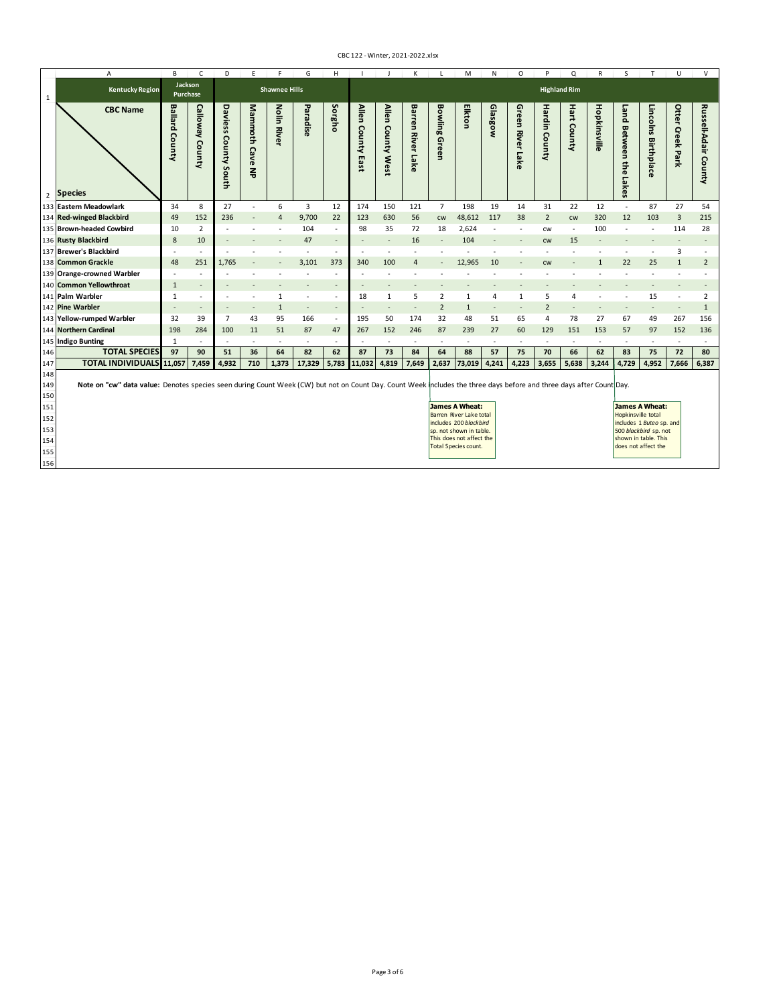|                                                             | A                                             | B                                                                                                                                                                                                                                                                                                                                                                                                                                                                                           | C                            | D                       | E                           | F                    | G        | H                        |                                                      |                          |                                  | M                        | N            | O                        | p                               | O                | R           | S                        |                                          | U                                                 | $\vee$                        |                                    |
|-------------------------------------------------------------|-----------------------------------------------|---------------------------------------------------------------------------------------------------------------------------------------------------------------------------------------------------------------------------------------------------------------------------------------------------------------------------------------------------------------------------------------------------------------------------------------------------------------------------------------------|------------------------------|-------------------------|-----------------------------|----------------------|----------|--------------------------|------------------------------------------------------|--------------------------|----------------------------------|--------------------------|--------------|--------------------------|---------------------------------|------------------|-------------|--------------------------|------------------------------------------|---------------------------------------------------|-------------------------------|------------------------------------|
| 1                                                           | <b>Kentucky Region</b>                        | Jackson<br>Purchase                                                                                                                                                                                                                                                                                                                                                                                                                                                                         |                              |                         |                             | <b>Shawnee Hills</b> |          |                          |                                                      |                          |                                  |                          |              |                          |                                 |                  |             |                          |                                          |                                                   |                               |                                    |
|                                                             | <b>CBC Name</b><br>2 Species                  | <b>Ballard</b><br>County                                                                                                                                                                                                                                                                                                                                                                                                                                                                    | ួ<br><b>Newoll</b><br>County | Daviess<br>County South | <b>Mammoth</b><br>Cave<br>록 | Nolin<br><b>Rive</b> | Paradise | Sorgho                   | <b>Allen</b><br>County<br>m<br>$\omega$<br>$\bar{a}$ | Allen<br>County West     | Barren<br><b>River</b><br>5<br>줆 | Bowling<br>Green         | Elkton       | Glasgow                  | Green<br><b>River</b><br>5<br>중 | Hardin<br>County | Hart County | Hopkinsville             | puen<br><b>Between</b><br>the Lake<br>Ü, | Linco<br>š<br>Birthpla<br>$\overline{\mathbf{C}}$ | Otter<br><b>Creek</b><br>Park | Russel<br>II-Adair<br>County       |
|                                                             | 133 Eastern Meadowlark                        | 34                                                                                                                                                                                                                                                                                                                                                                                                                                                                                          | 8                            | 27                      | $\sim$                      | 6                    | 3        | 12                       | 174                                                  | 150                      | 121                              | $\overline{7}$           | 198          | 19                       | 14                              | 31               | 22          | 12                       | $\overline{\phantom{a}}$                 | 87                                                | 27                            | 54                                 |
|                                                             | 134 Red-winged Blackbird                      | 49                                                                                                                                                                                                                                                                                                                                                                                                                                                                                          | 152                          | 236                     | $\overline{\phantom{a}}$    | $\overline{4}$       | 9,700    | 22                       | 123                                                  | 630                      | 56                               | <b>CW</b>                | 48,612       | 117                      | 38                              | $\overline{2}$   | <b>CW</b>   | 320                      | 12                                       | 103                                               | $\overline{3}$                | 215                                |
|                                                             | 135 Brown-headed Cowbird                      | 10                                                                                                                                                                                                                                                                                                                                                                                                                                                                                          | $\overline{2}$               |                         |                             | ٠                    | 104      | $\sim$                   | 98                                                   | 35                       | 72                               | 18                       | 2,624        | $\overline{\phantom{a}}$ | ٠                               | CW               | $\sim$      | 100                      | $\overline{\phantom{a}}$                 | $\overline{\phantom{a}}$                          | 114                           | 28                                 |
|                                                             | 136 Rusty Blackbird<br>137 Brewer's Blackbird | 8                                                                                                                                                                                                                                                                                                                                                                                                                                                                                           | 10                           |                         |                             |                      | 47       | $\overline{\phantom{a}}$ |                                                      | $\overline{\phantom{a}}$ | 16<br>٠                          | $\overline{\phantom{a}}$ | 104          | $\overline{\phantom{a}}$ | $\overline{\phantom{a}}$        | <b>CW</b>        | 15          | $\overline{\phantom{a}}$ |                                          |                                                   | $\overline{\phantom{a}}$      | $\overline{\phantom{a}}$<br>$\sim$ |
|                                                             | 138 Common Grackle                            | 48                                                                                                                                                                                                                                                                                                                                                                                                                                                                                          | 251                          | 1,765                   |                             |                      | 3,101    | ٠<br>373                 | 340                                                  | ٠<br>100                 | $\overline{4}$                   | $\overline{\phantom{a}}$ | 12,965       | 10                       |                                 | CW               |             | $\mathbf{1}$             | 22                                       | 25                                                | 3<br>$\mathbf{1}$             | $\overline{2}$                     |
|                                                             | 139 Orange-crowned Warbler                    |                                                                                                                                                                                                                                                                                                                                                                                                                                                                                             |                              |                         |                             |                      |          | ÷,                       |                                                      |                          |                                  |                          |              |                          |                                 |                  |             |                          |                                          |                                                   |                               |                                    |
|                                                             | 140 Common Yellowthroat                       | $\mathbf{1}$                                                                                                                                                                                                                                                                                                                                                                                                                                                                                |                              |                         |                             |                      |          |                          |                                                      |                          |                                  |                          |              |                          |                                 |                  |             |                          |                                          |                                                   |                               |                                    |
|                                                             | 141 Palm Warbler                              | $\mathbf{1}$                                                                                                                                                                                                                                                                                                                                                                                                                                                                                |                              |                         |                             | $\mathbf{1}$         |          | ٠                        | 18                                                   | $\mathbf{1}$             | 5                                | $\overline{2}$           | $\mathbf{1}$ | $\overline{4}$           | $\mathbf{1}$                    | 5                | 4           |                          |                                          | 15                                                | ÷,                            | $\overline{2}$                     |
|                                                             | 142 Pine Warbler                              |                                                                                                                                                                                                                                                                                                                                                                                                                                                                                             |                              |                         |                             | $\mathbf{1}$         |          |                          |                                                      | $\overline{\phantom{a}}$ |                                  | $\overline{2}$           | $\mathbf{1}$ |                          |                                 | $\overline{2}$   |             |                          |                                          |                                                   | ÷,                            | $\mathbf{1}$                       |
|                                                             | 143 Yellow-rumped Warbler                     | 32                                                                                                                                                                                                                                                                                                                                                                                                                                                                                          | 39                           | $\overline{7}$          | 43                          | 95                   | 166      | $\sim$                   | 195                                                  | 50                       | 174                              | 32                       | 48           | 51                       | 65                              | $\overline{4}$   | 78          | 27                       | 67                                       | 49                                                | 267                           | 156                                |
|                                                             | 144 Northern Cardinal                         | 198                                                                                                                                                                                                                                                                                                                                                                                                                                                                                         | 284                          | 100                     | 11                          | 51                   | 87       | 47                       | 267                                                  | 152                      | 246                              | 87                       | 239          | 27                       | 60                              | 129              | 151         | 153                      | 57                                       | 97                                                | 152                           | 136                                |
|                                                             | 145 Indigo Bunting                            | 1                                                                                                                                                                                                                                                                                                                                                                                                                                                                                           |                              | $\overline{a}$          | $\sim$                      | $\blacksquare$       | $\sim$   | $\overline{a}$           | ÷                                                    | ÷.                       | ÷.                               | $\sim$                   | $\sim$       | ÷                        | $\sim$                          | $\sim$           | $\sim$      | ٠                        | $\sim$                                   | ÷.                                                | ÷                             | ×.                                 |
| 146                                                         | <b>TOTAL SPECIES</b>                          | 97                                                                                                                                                                                                                                                                                                                                                                                                                                                                                          | 90                           | 51                      | 36                          | 64                   | 82       | 62                       | 87                                                   | 73                       | 84                               | 64                       | 88           | 57                       | 75                              | 70               | 66          | 62                       | 83                                       | 75                                                | 72                            | 80                                 |
| 147                                                         | <b>TOTAL INDIVIDUALS</b>                      | 11,057                                                                                                                                                                                                                                                                                                                                                                                                                                                                                      | 7,459                        | 4,932                   | 710                         | 1,373                | 17,329   | 5,783                    | 11,032                                               | 4,819                    | 7,649                            | 2,637                    | 73,019       | 4,241                    | 4,223                           | 3,655            | 5,638       | 3,244                    | 4,729                                    | 4,952                                             | 7,666                         | 6,387                              |
| 148<br>149<br>150<br>151<br>152<br>153<br>154<br>155<br>156 |                                               | Note on "cw" data value: Denotes species seen during Count Week (CW) but not on Count Day. Count Week includes the three days before and three days after Count Day.<br><b>James A Wheat:</b><br><b>James A Wheat:</b><br>Hopkinsville total<br>Barren River Lake total<br>includes 200 blackbird<br>includes 1 Buteo sp. and<br>500 blackbird sp. not<br>sp. not shown in table.<br>This does not affect the<br>shown in table. This<br>does not affect the<br><b>Total Species count.</b> |                              |                         |                             |                      |          |                          |                                                      |                          |                                  |                          |              |                          |                                 |                  |             |                          |                                          |                                                   |                               |                                    |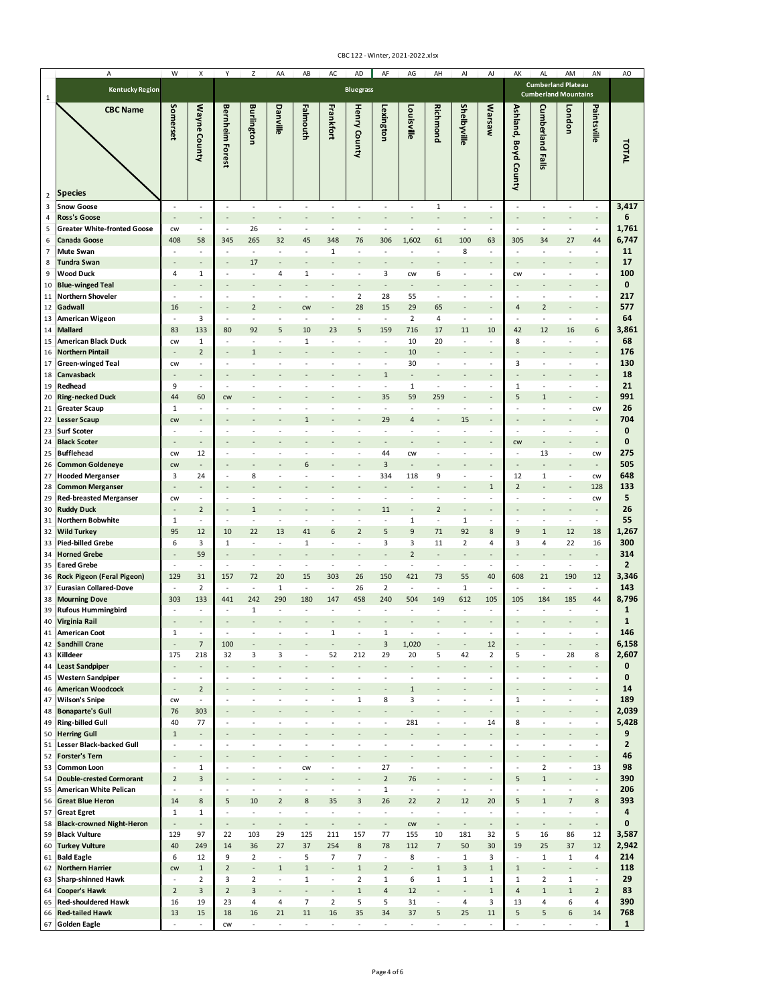| А                                                                       | W                                          | X                                  | Y                               | Z                                                    | AA                       | AB                                                   | AC                       | AD                       | AF                             | AG                              | AH                             | $\mathsf{Al}\hspace{0.04cm}$                         | AJ                                                   | AK                              | AL                       | AM                                                       | AN                                                   |
|-------------------------------------------------------------------------|--------------------------------------------|------------------------------------|---------------------------------|------------------------------------------------------|--------------------------|------------------------------------------------------|--------------------------|--------------------------|--------------------------------|---------------------------------|--------------------------------|------------------------------------------------------|------------------------------------------------------|---------------------------------|--------------------------|----------------------------------------------------------|------------------------------------------------------|
| <b>Kentucky Region</b><br>1                                             |                                            |                                    |                                 |                                                      |                          |                                                      |                          | <b>Bluegrass</b>         |                                |                                 |                                |                                                      |                                                      |                                 |                          | <b>Cumberland Plateau</b><br><b>Cumberland Mountains</b> |                                                      |
| <b>CBC Name</b><br><b>Species</b>                                       | Somerset                                   | Wayne County                       | <b>Bernheim Forest</b>          | <b>Burlington</b>                                    | Danville                 | Falmouth                                             | Frankfort                | Henry County             | Lexington                      | Louisville                      | <b>Richmond</b>                | Shelbyville                                          | <b>Marsaw</b>                                        | Ashland, Boyd County            | <b>Cumberland Falls</b>  | London                                                   | Paintsville                                          |
| $\overline{2}$<br>Snow Goose<br>3                                       |                                            | ÷,                                 | ÷,                              | $\overline{\phantom{a}}$                             | ÷,                       | $\overline{\phantom{a}}$                             |                          | $\overline{\phantom{a}}$ |                                | $\overline{\phantom{a}}$        | $\mathbf{1}$                   | $\overline{\phantom{a}}$                             | $\overline{\phantom{a}}$                             | ÷,                              | ÷,                       | $\overline{\phantom{a}}$                                 | $\overline{\phantom{a}}$                             |
| <b>Ross's Goose</b><br>4                                                |                                            | $\overline{\phantom{a}}$           | í,                              | $\overline{a}$                                       |                          | ä,                                                   |                          |                          |                                |                                 |                                |                                                      | $\overline{\phantom{a}}$                             | $\overline{\phantom{a}}$        |                          |                                                          | $\qquad \qquad \blacksquare$                         |
| <b>Greater White-fronted Goose</b><br>5                                 | CW                                         | $\overline{\phantom{a}}$           | $\overline{\phantom{a}}$        | 26                                                   | $\overline{\phantom{a}}$ | $\overline{\phantom{a}}$                             | $\sim$                   | $\sim$                   | $\sim$                         | $\sim$                          | $\sim$                         | $\overline{\phantom{a}}$                             | $\overline{\phantom{a}}$                             | $\overline{\phantom{a}}$        | $\sim$                   | $\overline{\phantom{a}}$                                 | $\overline{\phantom{a}}$                             |
| Canada Goose<br>6<br>Mute Swan<br>$\overline{7}$                        | 408<br>$\sim$                              | 58<br>$\overline{\phantom{a}}$     | 345<br>÷,                       | 265<br>$\sim$                                        | 32                       | 45<br>$\overline{\phantom{a}}$                       | 348<br>1                 | 76                       | 306                            | 1,602                           | 61                             | 100<br>8                                             | 63<br>$\sim$                                         | 305<br>$\sim$                   | 34                       | 27<br>٠                                                  | 44<br>$\sim$                                         |
| <b>Tundra Swan</b><br>8                                                 |                                            | $\frac{1}{2}$                      |                                 | 17                                                   |                          |                                                      |                          |                          |                                |                                 |                                |                                                      |                                                      |                                 |                          |                                                          |                                                      |
| <b>Wood Duck</b><br>9                                                   | 4                                          | 1                                  |                                 | $\sim$                                               | 4                        | 1                                                    |                          |                          | 3                              | CW                              | 6                              | $\overline{\phantom{a}}$                             | $\sim$                                               | CW                              |                          |                                                          | $\blacksquare$                                       |
| <b>Blue-winged Teal</b><br>10                                           |                                            | $\overline{a}$                     |                                 |                                                      |                          |                                                      |                          |                          |                                |                                 |                                |                                                      |                                                      |                                 |                          |                                                          |                                                      |
| <b>Northern Shoveler</b><br>11<br>Gadwall                               | ÷,<br>16                                   | ÷,<br>$\frac{1}{2}$                |                                 | ÷,<br>$\overline{2}$                                 |                          | $\sim$                                               |                          | $\overline{2}$<br>28     | 28<br>15                       | 55<br>29                        | $\sim$<br>65                   |                                                      | $\sim$                                               | ÷,<br>4                         | $\overline{2}$           |                                                          | $\overline{\phantom{a}}$                             |
| 12<br><b>American Wigeon</b><br>13                                      | $\overline{\phantom{a}}$                   | 3                                  | ÷,                              | $\sim$                                               |                          | CW<br>$\sim$                                         |                          | $\sim$                   | $\overline{\phantom{a}}$       | $\overline{2}$                  | 4                              | $\overline{\phantom{a}}$                             | $\overline{\phantom{a}}$                             | $\overline{\phantom{a}}$        | $\sim$                   | $\overline{\phantom{a}}$                                 | $\overline{\phantom{a}}$                             |
| <b>Mallard</b><br>14                                                    | 83                                         | 133                                | 80                              | 92                                                   | 5                        | 10                                                   | 23                       | 5                        | 159                            | 716                             | 17                             | 11                                                   | 10                                                   | 42                              | 12                       | 16                                                       | 6                                                    |
| American Black Duck<br>15                                               | CW                                         | 1                                  |                                 | $\sim$                                               |                          | 1                                                    |                          | ٠                        | $\overline{\phantom{a}}$       | 10                              | 20                             | $\sim$                                               | $\overline{\phantom{a}}$                             | 8                               | ÷                        | $\sim$                                                   | $\overline{\phantom{a}}$                             |
| <b>Northern Pintail</b><br>16                                           |                                            | $\mathbf 2$<br>÷,                  |                                 | $\,1\,$<br>$\sim$                                    |                          | ٠                                                    |                          |                          | $\overline{\phantom{a}}$       | 10<br>30                        | $\sim$                         | $\overline{\phantom{a}}$<br>$\sim$                   | $\overline{\phantom{a}}$<br>$\overline{\phantom{a}}$ | 3                               | ÷,                       | -<br>$\overline{\phantom{a}}$                            | $\overline{\phantom{a}}$<br>$\sim$                   |
| <b>Green-winged Teal</b><br>17<br>Canvasback<br>18                      | CW                                         | $\overline{\phantom{a}}$           |                                 | $\qquad \qquad \blacksquare$                         |                          |                                                      |                          |                          | $\mathbf{1}$                   | $\overline{\phantom{a}}$        |                                | $\overline{\phantom{a}}$                             | $\overline{\phantom{a}}$                             |                                 |                          | $\overline{\phantom{a}}$                                 | $\overline{\phantom{a}}$                             |
| Redhead<br>19                                                           | 9                                          | $\overline{\phantom{a}}$           | ä,                              | ÷,                                                   | ÷,                       | ÷,                                                   |                          | $\sim$                   | ÷                              | $\mathbf 1$                     | $\overline{\phantom{a}}$       | $\overline{\phantom{a}}$                             | $\overline{\phantom{a}}$                             | $\mathbf 1$                     | $\sim$                   | $\overline{\phantom{a}}$                                 | $\overline{\phantom{a}}$                             |
| <b>Ring-necked Duck</b><br>20                                           | 44                                         | 60                                 | CW                              |                                                      |                          |                                                      |                          |                          | 35                             | 59                              | 259                            |                                                      | $\overline{\phantom{a}}$                             | 5                               | $\mathbf{1}$             |                                                          | $\overline{\phantom{a}}$                             |
| <b>Greater Scaup</b><br>21<br><b>Lesser Scaup</b><br>22                 | 1<br><b>CW</b>                             | ÷,<br>$\qquad \qquad \blacksquare$ | ł,                              | ÷,                                                   |                          | ÷,<br>$\mathbf{1}$                                   |                          | $\overline{\phantom{a}}$ | $\overline{\phantom{a}}$<br>29 | $\overline{\phantom{a}}$<br>4   | $\overline{\phantom{a}}$       | $\overline{\phantom{a}}$<br>15                       | $\overline{\phantom{a}}$<br>$\overline{\phantom{a}}$ | ÷,                              | ÷,                       | $\blacksquare$                                           | CW<br>$\centerdot$                                   |
| <b>Surf Scoter</b><br>23                                                | $\overline{\phantom{a}}$                   | $\overline{\phantom{a}}$           | ٠                               | $\overline{\phantom{a}}$                             | ٠                        | $\overline{\phantom{a}}$                             | ٠                        | $\sim$                   | $\sim$                         | $\overline{\phantom{a}}$        | $\sim$                         | $\overline{\phantom{a}}$                             | $\overline{\phantom{a}}$                             | $\overline{\phantom{a}}$        | $\sim$                   | $\overline{\phantom{a}}$                                 | $\overline{\phantom{a}}$                             |
| <b>Black Scoter</b><br>24                                               | $\overline{a}$                             | $\overline{\phantom{a}}$           |                                 |                                                      |                          |                                                      |                          |                          |                                |                                 |                                |                                                      |                                                      | CW                              |                          |                                                          | $\overline{\phantom{a}}$                             |
| <b>Bufflehead</b><br>25                                                 | CW                                         | 12                                 | ٠                               | $\sim$                                               |                          | $\overline{\phantom{a}}$                             |                          | $\sim$                   | 44                             | CW                              | $\sim$                         | $\overline{\phantom{a}}$                             | $\overline{\phantom{a}}$                             | $\overline{\phantom{a}}$        | 13                       | $\overline{\phantom{a}}$                                 | CW                                                   |
| <b>Common Goldeneye</b><br>26<br><b>Hooded Merganser</b><br>27          | CW<br>3                                    | $\qquad \qquad \blacksquare$<br>24 | ÷,                              | 8                                                    |                          | 6<br>$\sim$                                          |                          | $\overline{\phantom{a}}$ | 3<br>334                       | 118                             | 9                              | $\overline{\phantom{a}}$                             | $\overline{\phantom{a}}$                             | 12                              | 1                        | $\overline{\phantom{a}}$                                 | $\overline{\phantom{a}}$<br>CW                       |
| <b>Common Merganser</b><br>28                                           |                                            | $\frac{1}{2}$                      |                                 |                                                      |                          |                                                      |                          |                          |                                |                                 |                                |                                                      | $\mathbf{1}$                                         | $\overline{2}$                  |                          |                                                          | 128                                                  |
| <b>Red-breasted Merganser</b><br>29                                     | CW                                         | $\overline{\phantom{a}}$           |                                 | ÷                                                    |                          |                                                      |                          |                          |                                |                                 |                                |                                                      | $\overline{\phantom{a}}$                             | ÷,                              |                          | ÷,                                                       | CW                                                   |
| <b>Ruddy Duck</b><br>30                                                 |                                            | $\sqrt{2}$                         |                                 | $\mathbf{1}$                                         |                          |                                                      |                          |                          | 11                             |                                 | $\overline{2}$                 |                                                      |                                                      |                                 |                          |                                                          | $\centerdot$                                         |
| Northern Bobwhite<br>31<br><b>Wild Turkey</b><br>32                     | $\mathbf{1}$<br>95                         | $\overline{\phantom{a}}$<br>12     | ÷,<br>10                        | ÷,<br>22                                             | ÷,<br>13                 | ÷,<br>41                                             | 6                        | $\overline{2}$           | 5                              | $\mathbf 1$<br>9                | $\overline{\phantom{a}}$<br>71 | $\mathbf 1$<br>92                                    | $\overline{\phantom{a}}$<br>8                        | ÷,<br>9                         | $\mathbf{1}$             | ÷,<br>12                                                 | $\blacksquare$<br>18                                 |
| <b>Pied-billed Grebe</b><br>33                                          | 6                                          | 3                                  | 1                               | $\sim$                                               | $\sim$                   | $\mathbf 1$                                          | ٠                        | ٠                        | 3                              | 3                               | 11                             | $\mathbf 2$                                          | 4                                                    | 3                               | 4                        | 22                                                       | 16                                                   |
| <b>Horned Grebe</b><br>34                                               |                                            | 59                                 |                                 | ٠                                                    |                          |                                                      |                          |                          |                                | $\overline{2}$                  |                                | $\overline{\phantom{a}}$                             | $\overline{\phantom{a}}$                             |                                 |                          | ٠                                                        | $\overline{\phantom{a}}$                             |
| <b>Eared Grebe</b><br>35                                                | ÷.                                         | $\sim$                             | ÷,                              | $\overline{\phantom{a}}$                             | ÷.                       | $\overline{\phantom{a}}$                             | $\sim$                   | $\sim$                   | $\sim$                         | ÷                               | $\sim$                         | ÷                                                    | $\sim$                                               | $\overline{\phantom{a}}$        | $\sim$                   | $\overline{\phantom{a}}$                                 | ÷                                                    |
| Rock Pigeon (Feral Pigeon)<br>36<br><b>Eurasian Collared-Dove</b><br>37 | 129<br>$\overline{\phantom{a}}$            | 31<br>$\mathbf 2$                  | 157<br>$\overline{\phantom{a}}$ | 72<br>$\overline{\phantom{a}}$                       | 20<br>$\mathbf{1}$       | 15<br>$\overline{\phantom{a}}$                       | 303<br>$\sim$            | 26<br>26                 | 150<br>$\overline{2}$          | 421<br>$\overline{\phantom{a}}$ | 73<br>$\overline{\phantom{a}}$ | 55<br>$\mathbf 1$                                    | 40<br>$\overline{\phantom{a}}$                       | 608<br>$\overline{\phantom{a}}$ | 21<br>÷,                 | 190<br>$\overline{\phantom{a}}$                          | 12<br>$\overline{\phantom{a}}$                       |
| <b>Mourning Dove</b><br>38                                              | 303                                        | 133                                | 441                             | 242                                                  | 290                      | 180                                                  | 147                      | 458                      | 240                            | 504                             | 149                            | 612                                                  | 105                                                  | 105                             | 184                      | 185                                                      | 44                                                   |
| <b>Rufous Hummingbird</b><br>39                                         | ÷,                                         | ÷,                                 | $\overline{\phantom{a}}$        | $\mathbf{1}$                                         | ÷,                       | $\overline{\phantom{a}}$                             | ÷,                       | $\overline{\phantom{a}}$ | $\sim$                         | $\overline{\phantom{a}}$        | $\overline{\phantom{a}}$       | $\overline{\phantom{a}}$                             | $\overline{\phantom{a}}$                             | ÷,                              | ÷,                       | $\overline{\phantom{a}}$                                 | $\overline{\phantom{a}}$                             |
| Virginia Rail<br>40<br><b>American Coot</b><br>41                       | $\mathbf{1}$                               | ÷,                                 |                                 | ÷.                                                   |                          |                                                      | 1                        |                          | $\mathbf{1}$                   |                                 |                                | ٠                                                    | ٠                                                    | ٠                               |                          | $\sim$                                                   | $\sim$                                               |
| <b>Sandhill Crane</b><br>42                                             | $\overline{a}$                             | $\overline{7}$                     | 100                             |                                                      |                          |                                                      |                          |                          | $\overline{3}$                 | 1,020                           |                                |                                                      | 12                                                   |                                 |                          | $\qquad \qquad \blacksquare$                             | $\overline{\phantom{a}}$                             |
| Killdeer<br>43                                                          | 175                                        | 218                                | 32                              | 3                                                    | 3                        | $\overline{\phantom{a}}$                             | 52                       | 212                      | 29                             | 20                              | 5                              | 42                                                   | $\overline{2}$                                       | 5                               | ÷,                       | 28                                                       | 8                                                    |
| <b>Least Sandpiper</b><br>44                                            | ÷,                                         | ÷,                                 |                                 | $\overline{a}$                                       |                          |                                                      |                          |                          |                                |                                 |                                |                                                      | $\overline{\phantom{a}}$                             |                                 |                          | L.                                                       | $\overline{a}$                                       |
| <b>Western Sandpiper</b><br>45<br><b>American Woodcock</b><br>46        | $\overline{\phantom{a}}$<br>$\overline{a}$ | $\sim$<br>$\overline{2}$           | $\sim$                          | $\overline{\phantom{a}}$                             | $\sim$                   | $\overline{\phantom{a}}$                             | ٠                        | $\sim$                   | $\overline{\phantom{a}}$       | $\sim$<br>$\mathbf{1}$          | $\overline{\phantom{a}}$       | $\sim$                                               | $\sim$<br>$\overline{\phantom{a}}$                   | $\sim$                          | ÷,                       | $\overline{\phantom{a}}$                                 | ÷<br>$\overline{\phantom{a}}$                        |
| 47 Wilson's Snipe                                                       | <b>CW</b>                                  | $\overline{\phantom{a}}$           | ÷,                              | ÷,                                                   |                          |                                                      |                          | 1                        | 8                              | 3                               |                                | $\sim$                                               | $\sim$                                               | $\mathbf{1}$                    |                          | $\sim$                                                   | $\overline{\phantom{a}}$                             |
| <b>Bonaparte's Gull</b><br>48                                           | 76                                         | 303                                |                                 |                                                      |                          |                                                      |                          |                          |                                |                                 |                                |                                                      | $\overline{\phantom{a}}$                             |                                 |                          |                                                          | $\overline{\phantom{a}}$                             |
| <b>Ring-billed Gull</b><br>49<br><b>Herring Gull</b>                    | 40<br>$\mathbf 1$                          | 77<br>$\frac{1}{2}$                |                                 |                                                      |                          |                                                      |                          |                          |                                | 281                             |                                | ÷,                                                   | 14<br>$\overline{\phantom{a}}$                       | 8                               |                          | ÷,                                                       | $\blacksquare$<br>$\overline{\phantom{a}}$           |
| 50<br><b>Lesser Black-backed Gull</b><br>51                             | $\sim$                                     | $\overline{\phantom{a}}$           | ÷,                              | ÷.                                                   |                          | ä,                                                   |                          |                          |                                | $\sim$                          |                                | $\sim$                                               | $\sim$                                               | $\sim$                          | ÷                        | $\sim$                                                   | $\sim$                                               |
| <b>Forster's Tern</b><br>52                                             | $\overline{\phantom{a}}$                   | $\overline{a}$                     |                                 |                                                      |                          |                                                      |                          |                          |                                |                                 |                                |                                                      | $\overline{\phantom{a}}$                             | $\overline{\phantom{a}}$        |                          | $\overline{\phantom{a}}$                                 | $\overline{\phantom{a}}$                             |
| Common Loon<br>53                                                       | $\sim$                                     | $\mathbf{1}$                       | ÷,                              | ٠                                                    | ٠                        | CW                                                   | ٠                        | $\sim$                   | 27                             | $\sim$                          |                                | $\sim$                                               | $\overline{\phantom{a}}$                             | $\overline{\phantom{a}}$        | $\overline{2}$           | $\overline{\phantom{a}}$                                 | 13                                                   |
| <b>Double-crested Cormorant</b><br>54<br>American White Pelican<br>55   | $\overline{2}$<br>÷,                       | 3<br>$\overline{\phantom{a}}$      | ٠<br>÷,                         | $\overline{\phantom{a}}$<br>$\overline{\phantom{a}}$ | $\sim$                   | $\overline{\phantom{a}}$<br>$\overline{\phantom{a}}$ | $\sim$                   | $\overline{\phantom{a}}$ | $\overline{2}$<br>$\mathbf{1}$ | 76<br>$\overline{\phantom{a}}$  | $\overline{\phantom{a}}$       | $\overline{\phantom{a}}$<br>$\overline{\phantom{a}}$ | $\overline{\phantom{a}}$<br>$\overline{\phantom{a}}$ | 5<br>$\overline{\phantom{a}}$   | $\mathbf{1}$<br>$\sim$   | $\overline{\phantom{a}}$<br>$\overline{\phantom{a}}$     | $\overline{\phantom{a}}$<br>$\overline{\phantom{a}}$ |
| <b>Great Blue Heron</b><br>56                                           | 14                                         | 8                                  | 5                               | 10                                                   | $\overline{2}$           | 8                                                    | 35                       | 3                        | 26                             | 22                              | $\overline{2}$                 | 12                                                   | 20                                                   | 5                               | $\mathbf{1}$             | $\overline{7}$                                           | 8                                                    |
| <b>Great Egret</b><br>57                                                | $\mathbf{1}$                               | $\mathbf{1}$                       | $\blacksquare$                  | $\overline{\phantom{a}}$                             | $\overline{\phantom{a}}$ | $\overline{\phantom{a}}$                             | $\overline{\phantom{a}}$ | $\overline{\phantom{a}}$ | ÷.                             | $\overline{\phantom{a}}$        | $\overline{\phantom{a}}$       | $\overline{\phantom{a}}$                             | $\overline{\phantom{a}}$                             | $\overline{\phantom{a}}$        | $\overline{\phantom{a}}$ | $\overline{\phantom{a}}$                                 | $\overline{\phantom{a}}$                             |
| <b>Black-crowned Night-Heron</b><br>58                                  | $\overline{\phantom{a}}$                   | $\overline{\phantom{a}}$           | $\overline{a}$                  | $\centerdot$                                         |                          | $\overline{\phantom{a}}$                             |                          | $\centerdot$             |                                | CW                              |                                | $\overline{\phantom{a}}$                             | $\overline{\phantom{a}}$                             | $\centerdot$                    |                          | $\qquad \qquad \blacksquare$                             | $\overline{\phantom{a}}$                             |
| <b>Black Vulture</b><br>59<br><b>Turkey Vulture</b><br>60               | 129<br>40                                  | 97<br>249                          | 22<br>14                        | 103<br>36                                            | 29<br>27                 | 125<br>37                                            | 211<br>254               | 157<br>$\bf 8$           | 77<br>78                       | 155<br>112                      | 10<br>$\overline{7}$           | 181<br>50                                            | 32<br>30                                             | 5<br>19                         | 16<br>25                 | 86<br>37                                                 | 12<br>12                                             |
| <b>Bald Eagle</b><br>61                                                 | 6                                          | 12                                 | 9                               | $\overline{2}$                                       | $\overline{\phantom{a}}$ | 5                                                    | $\overline{7}$           | $\overline{7}$           | $\overline{\phantom{a}}$       | 8                               | $\overline{\phantom{a}}$       | $\mathbf{1}$                                         | 3                                                    | $\overline{\phantom{a}}$        | $\mathbf{1}$             | $\mathbf{1}$                                             | 4                                                    |
| <b>Northern Harrier</b><br>62                                           | <b>CW</b>                                  | $\mathbf{1}$                       | $\overline{2}$                  | $\overline{\phantom{a}}$                             | $\mathbf{1}$             | $\mathbf 1$                                          | ÷,                       | $\mathbf 1$              | $\overline{2}$                 | $\overline{\phantom{a}}$        | $\mathbf{1}$                   | 3                                                    | $\mathbf{1}$                                         | $\mathbf{1}$                    | $\overline{a}$           | $\frac{1}{2}$                                            | $\blacksquare$                                       |
| <b>Sharp-shinned Hawk</b><br>63                                         | $\overline{\phantom{a}}$                   | $\overline{2}$                     | $\overline{\mathbf{3}}$         | $\overline{2}$                                       | $\overline{\phantom{a}}$ | $\mathbf{1}$                                         | $\overline{\phantom{a}}$ | $\overline{2}$           | $\mathbf{1}$                   | 6                               | $\mathbf{1}$                   | $\mathbf{1}$                                         | $\mathbf{1}$                                         | $\mathbf{1}$                    | $\overline{2}$           | $\mathbf{1}$                                             | $\overline{\phantom{a}}$                             |
| <b>Cooper's Hawk</b><br>64<br><b>Red-shouldered Hawk</b><br>65          | $\overline{2}$<br>16                       | $\mathsf 3$<br>19                  | $\overline{2}$<br>23            | 3<br>4                                               | $\overline{a}$<br>4      | $\overline{\phantom{a}}$<br>$\overline{7}$           | $\overline{2}$           | $\mathbf 1$<br>5         | $\overline{4}$<br>5            | 12<br>31                        | $\overline{\phantom{a}}$       | $\overline{\phantom{a}}$<br>4                        | $\,1\,$<br>3                                         | 4<br>13                         | $\mathbf{1}$<br>4        | $\mathbf 1$<br>6                                         | $\overline{2}$<br>4                                  |
| 66 Red-tailed Hawk                                                      | 13                                         | 15                                 | 18                              | 16                                                   | 21                       | 11                                                   | 16                       | 35                       | 34                             | 37                              | 5                              | 25                                                   | 11                                                   | 5                               | 5                        | $\boldsymbol{6}$                                         | 14                                                   |
| <b>Golden Eagle</b><br>67                                               | ÷,                                         | $\overline{\phantom{a}}$           | CW                              | $\overline{\phantom{a}}$                             | $\overline{\phantom{a}}$ | $\overline{\phantom{a}}$                             | $\overline{\phantom{a}}$ | $\overline{\phantom{a}}$ | $\overline{\phantom{a}}$       | $\overline{\phantom{a}}$        | $\overline{\phantom{a}}$       | $\overline{\phantom{a}}$                             | $\overline{\phantom{a}}$                             | ÷,                              | ÷,                       | $\blacksquare$                                           | $\overline{\phantom{a}}$                             |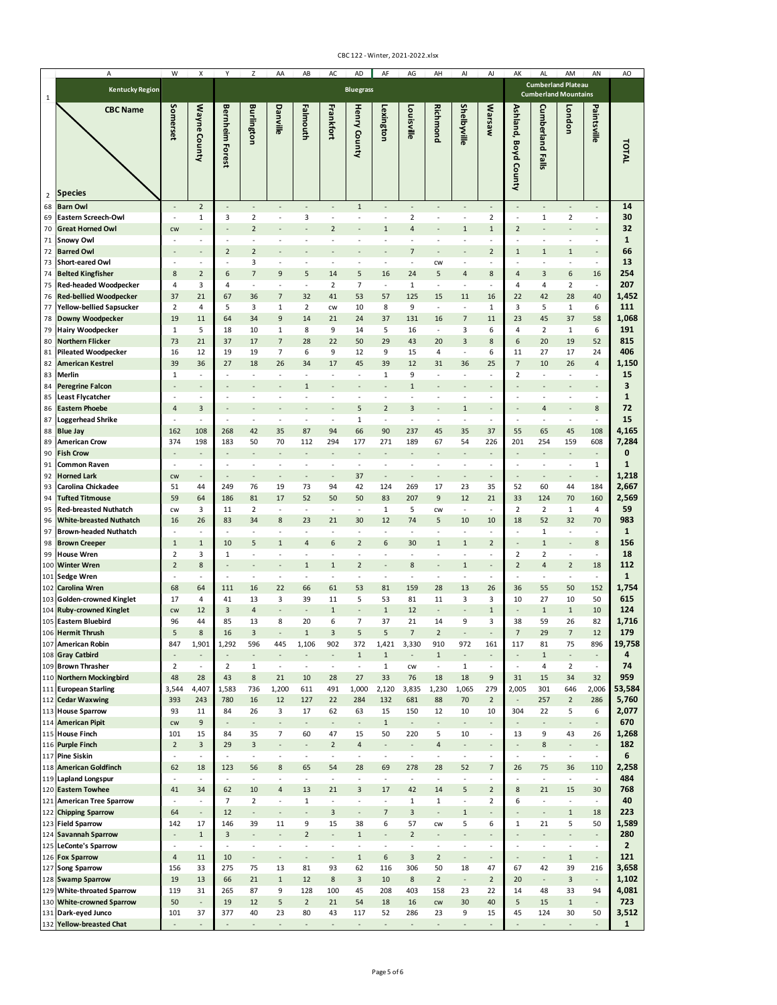|                      | Α                                                          | W                              | X                               | Y                        | Z                                  | AA                                       | AB                                         | AC                             | AD                                         | AF                                         | AG                                         | AH                             | Al                                       | AJ                                                   | AK                                         | AL                                                       | AM                                                   | AN                                       |
|----------------------|------------------------------------------------------------|--------------------------------|---------------------------------|--------------------------|------------------------------------|------------------------------------------|--------------------------------------------|--------------------------------|--------------------------------------------|--------------------------------------------|--------------------------------------------|--------------------------------|------------------------------------------|------------------------------------------------------|--------------------------------------------|----------------------------------------------------------|------------------------------------------------------|------------------------------------------|
| 1                    | <b>Kentucky Region</b>                                     |                                |                                 |                          |                                    |                                          |                                            |                                | <b>Bluegrass</b>                           |                                            |                                            |                                |                                          |                                                      |                                            | <b>Cumberland Plateau</b><br><b>Cumberland Mountains</b> |                                                      |                                          |
|                      | <b>CBC Name</b>                                            | Somerset                       | Wayne County                    | <b>Bernheim Forest</b>   | <b>Burlington</b>                  | Danville                                 | Falmouth                                   | Frankfort                      | Henry County                               | Lexington                                  | Louisville                                 | <b>Richmond</b>                | Shelbyville                              | Warsaw                                               | Ashland, Boyd County                       | Cumberland<br><b>Falls</b>                               | London                                               | Paintsville                              |
| $\overline{2}$<br>68 | <b>Species</b><br><b>Barn Owl</b>                          | $\overline{a}$                 | $\mathbf 2$                     | ÷,                       | $\overline{\phantom{a}}$           |                                          | $\overline{\phantom{a}}$                   |                                | $\mathbf{1}$                               |                                            | $\overline{\phantom{a}}$                   |                                | $\overline{\phantom{a}}$                 | $\overline{\phantom{a}}$                             | $\overline{\phantom{a}}$                   |                                                          | $\overline{\phantom{a}}$                             | $\overline{\phantom{a}}$                 |
| 69                   | Eastern Screech-Owl                                        | $\sim$                         | $\mathbf{1}$                    | 3                        | $\overline{2}$                     | ÷,                                       | 3                                          | $\sim$                         | ÷,                                         | $\sim$                                     | $\overline{2}$                             | $\sim$                         | $\overline{\phantom{a}}$                 | $\overline{2}$                                       | $\overline{\phantom{a}}$                   | 1                                                        | $\overline{2}$                                       | $\overline{\phantom{a}}$                 |
| 70                   | <b>Great Horned Owl</b>                                    | <b>CW</b>                      | $\overline{a}$                  |                          | $\overline{2}$                     |                                          |                                            | $\overline{2}$                 |                                            | $\mathbf{1}$                               | $\overline{4}$                             |                                | $1\,$                                    | $\mathbf{1}$                                         | $\overline{2}$                             |                                                          |                                                      |                                          |
| 71                   | Snowy Owl                                                  | ÷,                             | ÷                               | ÷,                       | ä,                                 |                                          | ÷,                                         |                                |                                            |                                            |                                            |                                |                                          | $\overline{\phantom{a}}$                             | ÷,                                         | ÷,                                                       | ÷,                                                   | ÷                                        |
| 72<br>73             | <b>Barred Owl</b><br><b>Short-eared Owl</b>                | ÷,                             | ÷,                              | $\overline{2}$<br>÷,     | $\overline{2}$<br>3                | ä,                                       | $\overline{\phantom{a}}$                   | $\sim$                         | $\sim$                                     | $\overline{\phantom{a}}$                   | $\overline{7}$<br>$\overline{\phantom{a}}$ | <b>CW</b>                      | $\overline{\phantom{a}}$                 | $\overline{2}$<br>$\overline{\phantom{a}}$           | $\mathbf{1}$<br>$\overline{\phantom{a}}$   | $\mathbf{1}$<br>÷,                                       | $\mathbf{1}$<br>$\overline{\phantom{a}}$             | $\overline{\phantom{a}}$                 |
| 74                   | <b>Belted Kingfisher</b>                                   | 8                              | $\mathbf 2$                     | 6                        | $\overline{7}$                     | 9                                        | 5                                          | 14                             | 5                                          | 16                                         | 24                                         | 5                              | 4                                        | 8                                                    | 4                                          | 3                                                        | 6                                                    | 16                                       |
| 75                   | <b>Red-headed Woodpecker</b>                               | $\overline{4}$                 | 3                               | $\overline{4}$           | ÷,                                 | ÷,                                       | $\overline{\phantom{a}}$                   | $\overline{2}$                 | $\overline{7}$                             | $\sim$                                     | $\mathbf 1$                                | $\sim$                         | $\overline{\phantom{a}}$                 | $\overline{\phantom{a}}$                             | 4                                          | 4                                                        | $\mathbf 2$                                          | $\overline{\phantom{a}}$                 |
| 76                   | <b>Red-bellied Woodpecker</b>                              | 37                             | 21                              | 67                       | 36                                 | $\overline{7}$                           | 32                                         | 41                             | 53                                         | 57                                         | 125                                        | 15                             | 11                                       | 16                                                   | 22                                         | 42                                                       | 28                                                   | 40                                       |
| 77                   | Yellow-bellied Sapsucker                                   | $\overline{2}$                 | 4                               | 5                        | 3                                  | $\mathbf{1}$                             | $\overline{2}$                             | CW                             | 10                                         | 8                                          | 9                                          | ÷                              | $\sim$                                   | $\mathbf{1}$                                         | 3                                          | 5                                                        | $\mathbf{1}$                                         | 6                                        |
| 78                   | Downy Woodpecker                                           | 19<br>$\mathbf{1}$             | 11                              | 64<br>18                 | 34<br>10                           | 9<br>$\mathbf{1}$                        | 14<br>8                                    | 21<br>9                        | 24<br>14                                   | 37<br>5                                    | 131<br>16                                  | 16<br>$\overline{\phantom{a}}$ | $\overline{7}$                           | 11<br>6                                              | 23<br>4                                    | 45                                                       | 37                                                   | 58                                       |
| 79<br>80             | <b>Hairy Woodpecker</b><br><b>Northern Flicker</b>         | 73                             | 5<br>21                         | 37                       | 17                                 | $\overline{7}$                           | 28                                         | 22                             | 50                                         | 29                                         | 43                                         | 20                             | 3<br>3                                   | 8                                                    | 6                                          | $\overline{2}$<br>20                                     | $\mathbf{1}$<br>19                                   | 6<br>52                                  |
| 81                   | <b>Pileated Woodpecker</b>                                 | 16                             | 12                              | 19                       | 19                                 | $\overline{7}$                           | 6                                          | 9                              | 12                                         | 9                                          | 15                                         | 4                              | $\overline{\phantom{a}}$                 | 6                                                    | 11                                         | 27                                                       | 17                                                   | 24                                       |
| 82                   | <b>American Kestrel</b>                                    | 39                             | 36                              | 27                       | 18                                 | 26                                       | 34                                         | 17                             | 45                                         | 39                                         | 12                                         | 31                             | 36                                       | 25                                                   | $\overline{\phantom{a}}$                   | 10                                                       | 26                                                   | $\overline{4}$                           |
| 83                   | Merlin                                                     | $\mathbf{1}$                   | $\overline{\phantom{a}}$        | $\overline{\phantom{a}}$ | $\overline{\phantom{a}}$           | $\sim$                                   | $\overline{\phantom{a}}$                   | $\overline{\phantom{a}}$       | $\overline{\phantom{a}}$                   | 1                                          | 9                                          | $\overline{\phantom{a}}$       | $\overline{\phantom{a}}$                 | $\overline{\phantom{a}}$                             | $\overline{2}$                             | $\overline{\phantom{a}}$                                 | $\overline{\phantom{a}}$                             | $\overline{\phantom{a}}$                 |
| 84                   | <b>Peregrine Falcon</b>                                    | $\sim$                         | $\centerdot$                    |                          | ä,                                 |                                          | $1\,$                                      |                                |                                            |                                            | $\mathbf 1$                                |                                |                                          |                                                      |                                            |                                                          |                                                      | $\overline{\phantom{a}}$<br>$\sim$       |
| 85<br>86             | <b>Least Flycatcher</b><br><b>Eastern Phoebe</b>           | $\overline{4}$                 | $\overline{\phantom{a}}$<br>3   | $\overline{\phantom{a}}$ | $\sim$                             | $\sim$                                   | $\sim$                                     | ٠                              | $\sim$<br>5                                | $\overline{\phantom{a}}$<br>$\overline{2}$ | $\sim$<br>3                                | ٠                              | $\sim$<br>$\mathbf 1$                    | $\sim$<br>$\overline{\phantom{a}}$                   | $\sim$                                     | $\sim$<br>4                                              | $\sim$                                               | $\bf 8$                                  |
| 87                   | <b>Loggerhead Shrike</b>                                   | $\sim$                         | $\overline{\phantom{a}}$        | $\sim$                   | $\sim$                             | $\sim$                                   | ÷.                                         | $\sim$                         | $\mathbf 1$                                | $\overline{\phantom{a}}$                   | $\sim$                                     |                                | $\overline{\phantom{a}}$                 | $\sim$                                               | $\overline{\phantom{a}}$                   | $\sim$                                                   | $\sim$                                               | $\overline{\phantom{a}}$                 |
| 88                   | <b>Blue Jay</b>                                            | 162                            | 108                             | 268                      | 42                                 | 35                                       | 87                                         | 94                             | 66                                         | 90                                         | 237                                        | 45                             | 35                                       | 37                                                   | 55                                         | 65                                                       | 45                                                   | 108                                      |
| 89                   | <b>American Crow</b>                                       | 374                            | 198                             | 183                      | 50                                 | 70                                       | 112                                        | 294                            | 177                                        | 271                                        | 189                                        | 67                             | 54                                       | 226                                                  | 201                                        | 254                                                      | 159                                                  | 608                                      |
| 90                   | <b>Fish Crow</b>                                           |                                | ÷,                              |                          |                                    |                                          |                                            |                                |                                            |                                            |                                            |                                |                                          |                                                      |                                            |                                                          |                                                      | $\centerdot$                             |
| 91<br>92             | Common Raven<br><b>Horned Lark</b>                         | ٠                              | ä,<br>$\overline{\phantom{a}}$  | ÷,<br>÷,                 | $\sim$<br>$\overline{\phantom{a}}$ | $\overline{\phantom{a}}$                 | $\sim$<br>$\overline{\phantom{a}}$         | $\overline{\phantom{a}}$       | ÷,<br>37                                   | $\overline{\phantom{a}}$                   | $\overline{\phantom{a}}$                   |                                | $\sim$<br>$\overline{\phantom{a}}$       | $\sim$<br>$\overline{\phantom{a}}$                   | ÷,<br>$\overline{\phantom{a}}$             | ÷,<br>$\overline{\phantom{a}}$                           | $\blacksquare$<br>$\overline{\phantom{a}}$           | $\mathbf{1}$<br>$\overline{\phantom{a}}$ |
| 93                   | Carolina Chickadee                                         | <b>CW</b><br>51                | 44                              | 249                      | 76                                 | 19                                       | 73                                         | 94                             | 42                                         | 124                                        | 269                                        | 17                             | 23                                       | 35                                                   | 52                                         | 60                                                       | 44                                                   | 184                                      |
| 94                   | <b>Tufted Titmouse</b>                                     | 59                             | 64                              | 186                      | 81                                 | 17                                       | 52                                         | 50                             | 50                                         | 83                                         | 207                                        | 9                              | 12                                       | 21                                                   | 33                                         | 124                                                      | 70                                                   | 160                                      |
| 95                   | <b>Red-breasted Nuthatch</b>                               | CW                             | 3                               | 11                       | $\overline{2}$                     | $\sim$                                   | ÷.                                         | $\overline{\phantom{a}}$       | $\sim$                                     | 1                                          | 5                                          | CW                             | $\sim$                                   | $\sim$                                               | 2                                          | $\overline{2}$                                           | $\mathbf{1}$                                         | 4                                        |
| 96                   | <b>White-breasted Nuthatch</b>                             | 16                             | 26                              | 83                       | 34                                 | 8                                        | 23                                         | 21                             | 30                                         | 12                                         | 74                                         | 5                              | 10                                       | 10                                                   | 18                                         | 52                                                       | 32                                                   | 70                                       |
| 97                   | <b>Brown-headed Nuthatch</b>                               | $\overline{\phantom{a}}$       | ٠                               | $\sim$                   | ÷,                                 | ٠                                        | $\overline{\phantom{a}}$                   | $\overline{\phantom{a}}$       | $\sim$                                     | $\overline{\phantom{a}}$                   | $\overline{\phantom{a}}$                   | $\sim$                         | $\overline{\phantom{a}}$                 | $\overline{\phantom{a}}$                             | $\overline{\phantom{a}}$                   | $\mathbf{1}$                                             | $\overline{\phantom{a}}$                             | $\sim$                                   |
| 98<br>99             | <b>Brown Creeper</b><br><b>House Wren</b>                  | $\mathbf{1}$<br>$\overline{2}$ | $\mathbf 1$<br>3                | 10<br>$\mathbf{1}$       | 5<br>÷,                            | $\mathbf{1}$<br>$\overline{\phantom{a}}$ | $\overline{a}$<br>$\overline{\phantom{a}}$ | 6<br>$\sim$                    | $\overline{2}$<br>$\overline{\phantom{a}}$ | 6<br>$\sim$                                | 30<br>$\overline{\phantom{a}}$             | 1<br>$\overline{\phantom{a}}$  | $1\,$<br>$\blacksquare$                  | $\overline{2}$<br>$\overline{\phantom{a}}$           | $\overline{\phantom{a}}$<br>$\overline{2}$ | $\mathbf{1}$<br>$\overline{2}$                           | $\overline{\phantom{a}}$<br>$\overline{\phantom{a}}$ | $\bf 8$<br>$\blacksquare$                |
| 100                  | <b>Winter Wren</b>                                         | $\overline{2}$                 | $\bf 8$                         |                          |                                    |                                          | $\mathbf{1}$                               | $\mathbf{1}$                   | $\overline{2}$                             |                                            | 8                                          |                                | $1\,$                                    | $\overline{\phantom{a}}$                             | $\overline{2}$                             | 4                                                        | $\overline{2}$                                       | 18                                       |
| 101                  | Sedge Wren                                                 | $\overline{\phantom{a}}$       | $\overline{\phantom{a}}$        | $\overline{\phantom{a}}$ | $\overline{\phantom{a}}$           | $\sim$                                   | $\overline{\phantom{a}}$                   | $\sim$                         | $\overline{\phantom{a}}$                   | $\sim$                                     | $\overline{\phantom{a}}$                   | $\sim$                         | $\overline{\phantom{a}}$                 | $\overline{\phantom{a}}$                             | $\overline{\phantom{a}}$                   | $\sim$                                                   | $\overline{\phantom{a}}$                             | $\overline{\phantom{a}}$                 |
| 102                  | Carolina Wren                                              | 68                             | 64                              | 111                      | 16                                 | 22                                       | 66                                         | 61                             | 53                                         | 81                                         | 159                                        | 28                             | 13                                       | 26                                                   | 36                                         | 55                                                       | 50                                                   | 152                                      |
| 103                  | <b>Golden-crowned Kinglet</b>                              | 17                             | 4                               | 41                       | 13                                 | 3                                        | 39<br>÷,                                   | 11                             | 5                                          | 53                                         | 81                                         | 11                             | 3                                        | 3                                                    | 10                                         | 27                                                       | 10                                                   | 50                                       |
| 104                  | <b>Ruby-crowned Kinglet</b><br>105 Eastern Bluebird        | CW<br>96                       | 12<br>44                        | $\mathsf 3$<br>85        | $\sqrt{4}$<br>13                   | 8                                        | 20                                         | $\mathbf 1$<br>6               | $\overline{7}$                             | $\mathbf 1$<br>37                          | 12<br>21                                   | 14                             | 9                                        | $1\,$<br>3                                           | $\overline{a}$<br>38                       | $\mathbf{1}$<br>59                                       | $1\,$<br>26                                          | 10<br>82                                 |
|                      | 106 Hermit Thrush                                          | 5                              | 8                               | 16                       | $\overline{\mathbf{3}}$            |                                          | $1\,$                                      | $\overline{3}$                 | 5                                          | 5                                          | $\overline{7}$                             | $\overline{2}$                 |                                          |                                                      | $\overline{7}$                             | 29                                                       | $\overline{7}$                                       | 12                                       |
| 107                  | <b>American Robin</b>                                      | 847                            | 1,901                           | 1,292                    | 596                                | 445                                      | 1,106                                      | 902                            | 372                                        | 1,421                                      | 3,330                                      | 910                            | 972                                      | 161                                                  | 117                                        | 81                                                       | 75                                                   | 896                                      |
|                      | 108 Gray Catbird                                           | $\overline{a}$                 | ÷,                              |                          | ÷,                                 |                                          |                                            |                                | $\mathbf{1}$                               | $\mathbf{1}$                               |                                            | $\mathbf{1}$                   | $\blacksquare$                           | $\overline{\phantom{a}}$                             | $\overline{\phantom{a}}$                   | $\mathbf 1$                                              | $\blacksquare$                                       | $\overline{\phantom{a}}$                 |
|                      | 109 Brown Thrasher<br>110 Northern Mockingbird             | $\overline{2}$<br>48           | $\overline{\phantom{a}}$<br>28  | $\overline{2}$<br>43     | $\mathbf{1}$<br>$\bf 8$            | $\overline{\phantom{a}}$<br>21           | $\overline{\phantom{a}}$<br>10             | $\overline{\phantom{a}}$<br>28 | $\overline{\phantom{a}}$<br>27             | $\mathbf{1}$<br>33                         | cw<br>76                                   | $\overline{\phantom{a}}$<br>18 | $\mathbf 1$<br>18                        | $\overline{\phantom{a}}$<br>9                        | $\overline{\phantom{a}}$<br>31             | 4<br>15                                                  | $\overline{2}$<br>34                                 | $\overline{\phantom{a}}$<br>32           |
| 111                  | <b>European Starling</b>                                   | 3,544                          | 4,407                           | 1,583                    | 736                                | 1,200                                    | 611                                        | 491                            | 1,000                                      | 2,120                                      | 3,835                                      | 1,230                          | 1,065                                    | 279                                                  | 2,005                                      | 301                                                      | 646                                                  | 2,006                                    |
| 112                  | <b>Cedar Waxwing</b>                                       | 393                            | 243                             | 780                      | 16                                 | 12                                       | 127                                        | 22                             | 284                                        | 132                                        | 681                                        | 88                             | 70                                       | $\overline{2}$                                       | $\overline{\phantom{a}}$                   | 257                                                      | $\overline{2}$                                       | 286                                      |
|                      | 113 House Sparrow                                          | 93                             | 11                              | 84                       | 26                                 | 3                                        | 17                                         | 62                             | 63                                         | 15                                         | 150                                        | 12                             | 10                                       | 10                                                   | 304                                        | 22                                                       | 5                                                    | 6                                        |
|                      | 114 American Pipit                                         | <b>CW</b>                      | $\boldsymbol{9}$                | $\overline{\phantom{a}}$ | $\overline{\phantom{a}}$           | $\overline{\phantom{a}}$                 | $\overline{\phantom{a}}$                   | $\overline{\phantom{a}}$       | $\overline{\phantom{a}}$                   | $1\,$                                      | $\overline{\phantom{a}}$                   | $\overline{\phantom{a}}$       | $\overline{\phantom{a}}$                 | $\overline{\phantom{a}}$                             | $\overline{\phantom{a}}$                   | $\overline{\phantom{a}}$                                 | $\overline{\phantom{a}}$                             | $\overline{\phantom{a}}$                 |
| 115                  | <b>House Finch</b><br>116 Purple Finch                     | 101<br>$\overline{2}$          | 15<br>$\mathsf 3$               | 84<br>29                 | 35<br>3                            | $\overline{7}$<br>÷                      | 60<br>$\overline{\phantom{a}}$             | 47<br>$\overline{2}$           | 15<br>$\overline{\mathbf{4}}$              | 50<br>$\overline{\phantom{a}}$             | 220<br>$\overline{\phantom{a}}$            | 5<br>$\overline{4}$            | 10                                       | $\overline{\phantom{a}}$                             | 13<br>$\overline{\phantom{a}}$             | 9<br>8                                                   | 43<br>$\blacksquare$                                 | 26                                       |
| 117                  | <b>Pine Siskin</b>                                         | $\overline{\phantom{a}}$       | $\overline{\phantom{a}}$        | $\overline{\phantom{a}}$ | $\overline{\phantom{a}}$           | $\overline{\phantom{a}}$                 | $\overline{\phantom{a}}$                   | $\omega$                       | $\overline{\phantom{a}}$                   | ÷                                          | $\overline{\phantom{a}}$                   | $\overline{\phantom{a}}$       | $\centerdot$<br>$\overline{\phantom{a}}$ | $\overline{\phantom{a}}$<br>$\overline{\phantom{a}}$ | $\overline{\phantom{a}}$                   | $\overline{\phantom{a}}$                                 | $\overline{\phantom{a}}$                             | $\overline{\phantom{a}}$<br>$\sim$       |
|                      | 118 American Goldfinch                                     | 62                             | 18                              | 123                      | 56                                 | 8                                        | 65                                         | 54                             | 28                                         | 69                                         | 278                                        | 28                             | 52                                       | $\overline{7}$                                       | 26                                         | 75                                                       | 36                                                   | 110                                      |
| 119                  | <b>Lapland Longspur</b>                                    | $\overline{\phantom{a}}$       | $\overline{\phantom{a}}$        | $\overline{\phantom{a}}$ | $\overline{\phantom{a}}$           | $\overline{\phantom{a}}$                 | $\overline{\phantom{a}}$                   | $\overline{\phantom{a}}$       | $\overline{\phantom{a}}$                   | $\overline{\phantom{a}}$                   | $\overline{\phantom{a}}$                   | $\overline{\phantom{a}}$       | $\overline{\phantom{a}}$                 | $\overline{\phantom{a}}$                             | $\overline{\phantom{a}}$                   | $\overline{\phantom{a}}$                                 | $\blacksquare$                                       | $\overline{\phantom{a}}$                 |
|                      | 120 Eastern Towhee                                         | 41                             | 34                              | 62                       | 10                                 | $\overline{a}$                           | 13                                         | 21                             | 3                                          | 17                                         | 42                                         | 14                             | 5                                        | $\overline{2}$                                       | 8                                          | 21                                                       | 15                                                   | 30                                       |
| 121                  | <b>American Tree Sparrow</b>                               | $\overline{\phantom{a}}$       | $\overline{\phantom{a}}$        | $\overline{7}$           | $\overline{2}$                     | $\overline{\phantom{a}}$                 | $\mathbf{1}$                               | $\overline{\phantom{a}}$       | $\overline{\phantom{a}}$                   | $\overline{\phantom{a}}$                   | $\mathbf 1$                                | $\,1$                          | $\overline{\phantom{a}}$                 | $\overline{2}$                                       | 6                                          | $\overline{\phantom{a}}$                                 | $\overline{\phantom{a}}$                             | $\overline{\phantom{a}}$                 |
| 122                  | <b>Chipping Sparrow</b><br>123 Field Sparrow               | 64<br>142                      | $\overline{\phantom{a}}$<br>17  | 12<br>146                | ÷,<br>39                           | $\overline{a}$<br>11                     | ÷,<br>9                                    | $\overline{3}$<br>15           | $\overline{\phantom{a}}$<br>38             | $\overline{7}$<br>6                        | 3<br>57                                    | CW                             | $\mathbf 1$<br>5                         | $\overline{\phantom{a}}$<br>6                        | $\mathbf 1$                                | $\centerdot$<br>21                                       | $\mathbf{1}$<br>5                                    | 18<br>50                                 |
|                      | 124 Savannah Sparrow                                       | ÷,                             | $\mathbf{1}$                    | $\overline{3}$           | $\overline{a}$                     | L.                                       | $\overline{2}$                             | ÷,                             | $1\,$                                      |                                            | $\overline{2}$                             |                                | $\overline{\phantom{a}}$                 | $\overline{\phantom{a}}$                             |                                            |                                                          | ÷.                                                   | $\overline{\phantom{a}}$                 |
|                      | 125 LeConte's Sparrow                                      | $\overline{\phantom{a}}$       | $\overline{\phantom{a}}$        | $\overline{\phantom{a}}$ | $\overline{\phantom{a}}$           | $\sim$                                   | $\overline{\phantom{a}}$                   | $\sim$                         | $\overline{\phantom{a}}$                   | $\sim$                                     | $\overline{\phantom{a}}$                   | $\overline{\phantom{a}}$       | $\overline{\phantom{a}}$                 | $\overline{\phantom{a}}$                             | $\overline{\phantom{a}}$                   | $\sim$                                                   | $\overline{\phantom{a}}$                             | $\overline{\phantom{a}}$                 |
|                      | 126 Fox Sparrow                                            | $\overline{a}$                 | 11                              | 10                       | $\overline{\phantom{a}}$           | $\overline{\phantom{a}}$                 | $\overline{\phantom{a}}$                   | $\overline{\phantom{a}}$       | $\mathbf{1}$                               | 6                                          | 3                                          | $\overline{2}$                 | $\overline{\phantom{a}}$                 | $\overline{\phantom{a}}$                             | $\overline{\phantom{a}}$                   | $\centerdot$                                             | $\mathbf 1$                                          | $\overline{\phantom{a}}$                 |
|                      | 127 Song Sparrow                                           | 156                            | 33                              | 275                      | 75                                 | 13                                       | 81                                         | 93                             | 62                                         | 116                                        | 306                                        | 50                             | 18                                       | 47                                                   | 67                                         | 42                                                       | 39                                                   | 216                                      |
|                      | 128 Swamp Sparrow                                          | 19                             | 13                              | 66                       | 21                                 | $1\,$                                    | 12                                         | 8                              | 3                                          | 10                                         | $\bf 8$                                    | $\overline{2}$                 | $\blacksquare$                           | $\overline{2}$                                       | 20                                         | $\frac{1}{2}$                                            | $\overline{3}$                                       | $\overline{\phantom{a}}$                 |
| 130                  | 129 White-throated Sparrow<br><b>White-crowned Sparrow</b> | 119<br>50                      | 31<br>$\overline{\phantom{a}}$  | 265<br>19                | 87<br>12                           | 9<br>5                                   | 128<br>$\mathbf 2$                         | 100<br>21                      | 45<br>54                                   | 208<br>18                                  | 403<br>16                                  | 158<br><b>CW</b>               | 23<br>30                                 | 22<br>40                                             | 14<br>5                                    | 48<br>15                                                 | 33<br>$1\,$                                          | 94<br>$\overline{\phantom{a}}$           |
|                      | 131 Dark-eyed Junco                                        | 101                            | 37                              | 377                      | 40                                 | 23                                       | 80                                         | 43                             | 117                                        | 52                                         | 286                                        | 23                             | 9                                        | 15                                                   | 45                                         | 124                                                      | 30                                                   | 50                                       |
|                      | 132 Yellow-breasted Chat                                   | ٠                              | $\centering \label{eq:reduced}$ | $\overline{\phantom{a}}$ | $\overline{\phantom{a}}$           | $\overline{\phantom{a}}$                 | $\overline{\phantom{a}}$                   | $\overline{\phantom{a}}$       | $\overline{\phantom{a}}$                   | $\overline{\phantom{a}}$                   | $\overline{\phantom{a}}$                   | $\overline{\phantom{a}}$       | $\overline{\phantom{a}}$                 | $\overline{\phantom{a}}$                             | $\centerdot$                               | $\overline{\phantom{a}}$                                 | $\overline{\phantom{a}}$                             | $\overline{\phantom{a}}$                 |